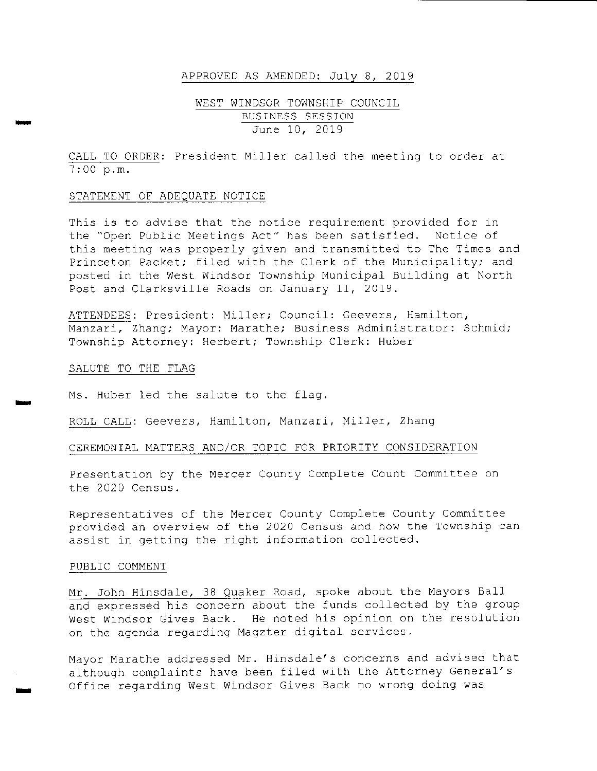## APPROVED AS AMENDED: July 8, 2019

## WEST WINDSOR TOWNSHIP COUNCIL BUSINESS SESSION June 10, 2019

CALL TO ORDER: President Miller called the meeting to order at 7 : 00 p. m.

### STATEMENT OF ADEQUATE NOTICE

This is to advise that the notice requirement provided for in the "Open Public Meetings Act" has been satisfied. Notice of this meeting was properly given and transmitted to The Times and Princeton Packet; filed with the Clerk of the Municipality; and posted in the West Windsor Township Municipal Building at North Post and Clarksville Roads on January 11, 2019 .

ATTENDEES: President: Miller; Council: Geevers, Hamilton, Manzari, Zhang; Mayor: Marathe; Business Administrator: Schmid; Township Attorney: Herbert; Township Clerk: Huber

#### SALUTE TO THE FLAG

mem

Ms. Huber led the salute to the flag.

ROLL CALL: Geevers, Hamilton, Manzari, Miller, Zhang

#### CEREMONIAL MATTERS AND/OR TOPIC FOR PRIORITY CONSIDERATION

Presentation by the Mercer County Complete Count Committee on the 2020 Census .

Representatives of the Mercer County Complete County Committee provided an overview of the 2020 Census and how the Township can assist in getting the right information collected.

#### PUBLIC COMMENT

Mr. John Hinsdale, 38 Quaker Road, spoke about the Mayors Ball and expressed his concern about the funds collected by the group West Windsor Gives Back. He noted his opinion on the resolution on the agenda regarding Magzter digital services.

Mayor Marathe addressed Mr. Hinsdale' s concerns and advised that although complaints have been filed with the Attorney General' s Office regarding West Windsor Gives Back no wrong doing was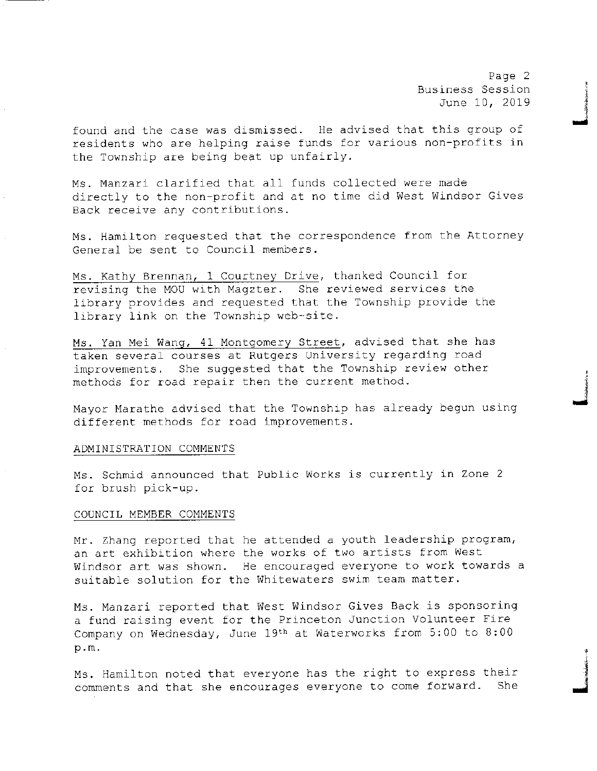Page 2 Business Session June 10, 2019

visa

.<br>أسيا

j<br>j

found and the case was dismissed. He advised that this group of residents who are helping raise funds for various non-profits in the Township are being beat up unfairly.

Ms. Manzari clarified that all funds collected were made directly to the non-profit and at no time did West Windsor Gives Back receive any contributions .

Ms. Hamilton requested that the correspondence from the Attorney General be sent to Council members .

Ms. Kathy Brennan, 1 Courtney Drive, thanked Council for revising the MOO with Magzter. She reviewed services the library provides and requested that the Township provide the library link on the Township web-site.

Ms . Yan Mei Wang, 41 Montgomery Street, advised that she has taken several courses at Rutgers University regarding road improvements . She suggested that the Township review other methods for road repair then the current method.

Mayor Marathe advised that the Township has already begun using different methods for road improvements .

#### ADMINISTRATION COMMENTS

Ms . Schmid announced that Public Works is currently in Zone <sup>2</sup> for brush pick-up.

## COUNCIL MEMBER COMMENTS

Mr. Zhang reported that he attended <sup>a</sup> youth leadership program, an art exhibition where the works of two artists from West Windsor art was shown. He encouraged everyone to work towards <sup>a</sup> suitable solution for the Whitewaters swim team matter.

Ms. Manzari reported that West Windsor Gives Back is sponsoring <sup>a</sup> fund raising event for the Princeton Junction Volunteer Fire Company on Wednesday, June 19th at Waterworks from 5:00 to 8:00 p. m.

Ms. Hamilton noted that everyone has the right to express their comments and that she encourages everyone to come forward. She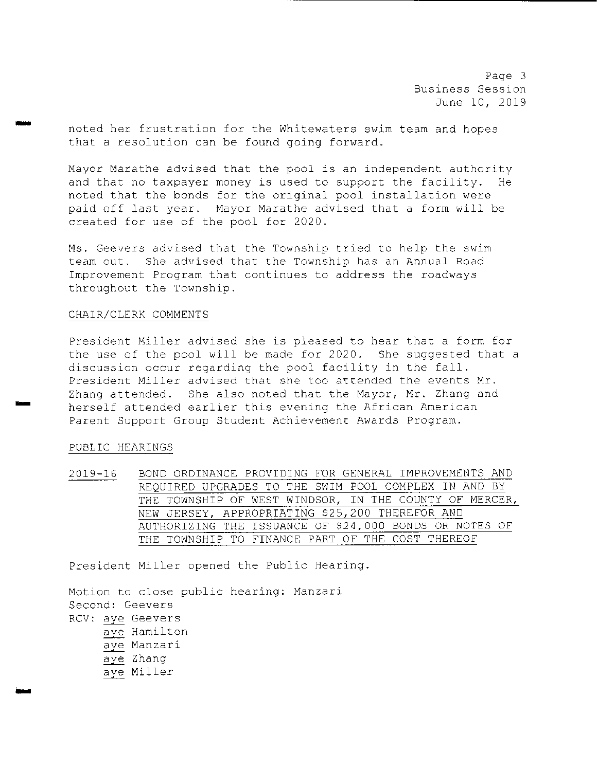Page 3 Business Session June 10, 2019

noted her frustration for the Whitewaters swim team and hopes that <sup>a</sup> resolution can be found going forward.

Mayor Marathe advised that the pool is an independent authority<br>and that no taxpayer money is used to support the facility. He and that no taxpayer money is used to support the facility. noted that the bonds for the original pool installation were paid off last year. Mayor Marathe advised that <sup>a</sup> form will be created for use of the pool for 2020 .

Ms . Geevers advised that the Township tried to help the swim team out . She advised that the Township has an Annual Road Improvement Program that continues to address the roadways throughout the Township.

#### CHAIR/ CLERK COMMENTS

i<br>iliyoo

r<br>Ere

President Miller advised she is pleased to hear that <sup>a</sup> form for the use of the pool will be made for 2020. She suggested that a discussion occur regarding the pool facility in the fall . President Miller advised that she too attended the events Mr. Zhang attended. She also noted that the Mayor, Mr. Zhang and herself attended earlier this evening the African American Parent Support Group Student Achievement Awards Program.

### PUBLIC HEARINGS

2019-16 BOND ORDINANCE PROVIDING FOR GENERAL IMPROVEMENTS AND REQUIRED UPGRADES TO THE SWIM POOL COMPLEX IN AND BY THE TOWNSHIP OF WEST WINDSOR, IN THE COUNTY OF MERCER, NEW JERSEY, APPROPRIATING \$25,200 THEREFOR AND AUTHORIZING THE ISSUANCE OF \$ 24 , 000 BONDS OR NOTES OF THE TOWNSHIP TO FINANCE PART OF THE COST THEREOF

President Miller opened the Public Hearing.

Motion to close public hearing: Manzari Second: Geevers RCV: aye Geevers aye Hamilton aye Manzari aye Zhang aye Miller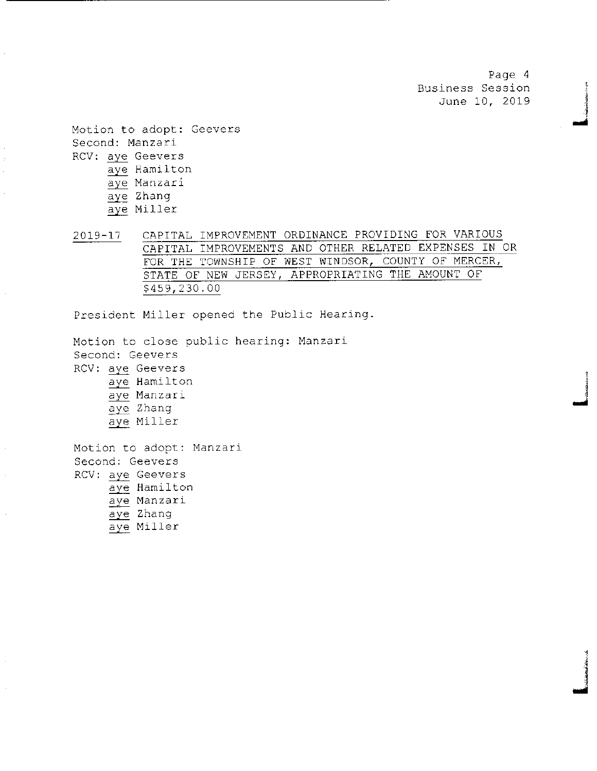Page <sup>4</sup> Business Session June 10, 2019

i

Si

Motion to adopt: Geevers Second: Manzari RCV: aye Geevers aye Hamilton aye Manzari aye Zhang aye Miller

2019-17 CAPITAL IMPROVEMENT ORDINANCE PROVIDING FOR VARIOUS CAPITAL IMPROVEMENTS AND OTHER RELATED EXPENSES IN OR FOR THE TOWNSHIP OF WEST WINDSOR, COUNTY OF MERCER, STATE OF NEW JERSEY, APPROPRIATING THE AMOUNT OF 459, 230 . 00

President Miller opened the Public Hearing.

Motion to close public hearing: Manzari Second: Geevers RCV: aye Geevers aye Hamilton aye Manzari <sup>1</sup> aye Zhang aye Miller Motion to adopt: Manzari Second: Geevers RCV: aye Geevers aye Hamilton aye Manzari

aye Zhang

 $\bar{.}$ 

 $\bar{z}$ 

aye Miller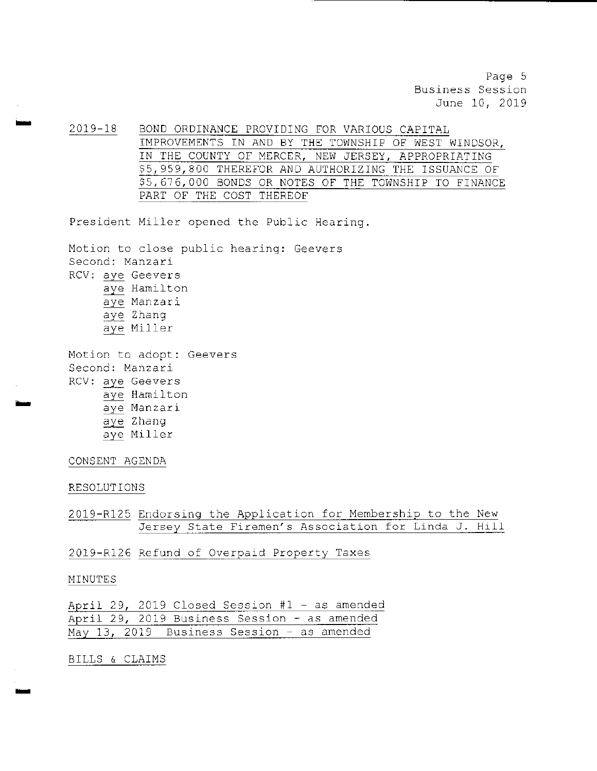Page 5 Business Session June 10, 2019

2019- 18 BOND ORDINANCE PROVIDING FOR VARIOUS CAPITAL IMPROVEMENTS IN AND BY THE TOWNSHIP OF WEST WINDSOR, IN THE COUNTY OF MERCER, NEW JERSEY, APPROPRIATING 5, 959, 800 THEREFOR AND AUTHORIZING THE ISSUANCE OF 5, 676, 000 BONDS OR NOTES OF THE TOWNSHIP TO FINANCE PART OF THE COST THEREOF

President Miller opened the Public Hearing.

Motion to close public hearing: Geevers Second: Manzari RCV: aye Geevers aye Hamilton aye Manzari aye Zhang aye Miller

Motion to adopt: Geevers Second: Manzari RCV: aye Geevers aye Hamilton aye Manzari aye Zhang aye Miller

## CONSENT AGENDA

### RESOLUTIONS

r<br>İmper

Sim

i<br>it

2019-R125 Endorsing the Application for Membership to the New Jersey State Firemen's Association for Linda J. Hill

2019- R126 Refund of Overpaid Property Taxes

### MINUTES

April 29, 2019 Closed Session  $#1 - as$  amended April 29, 2019 Business Session - as amended May 13, 2019 Business Session - as amended

BILLS & CLAIMS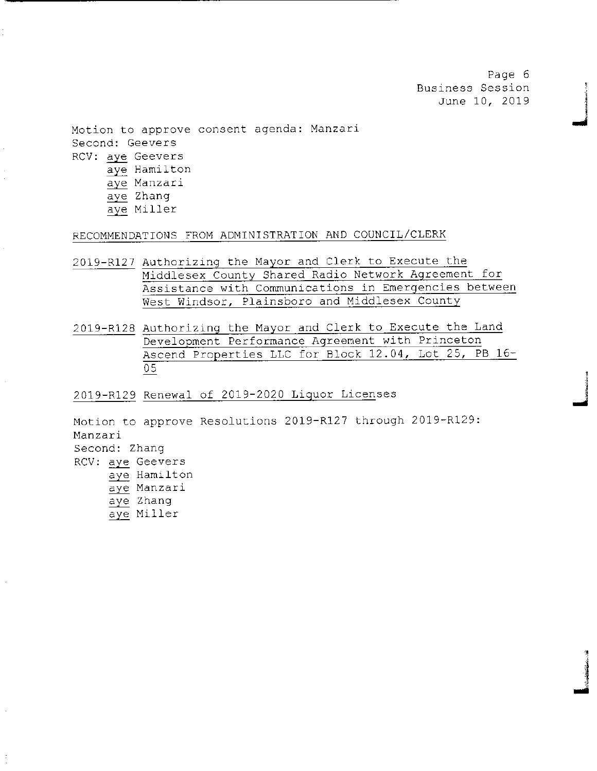Page 6 Business Session June 10, 2019

.<br>ألاسا

mommA

Motion to approve consent agenda: Manzari Second: Geevers RCV: aye Geevers aye Hamilton aye Manzari aye Zhang aye Miller

RECOMMENDATIONS FROM ADMINISTRATION AND COUNCIL/ CLERK

- 2019-R127 Authorizing the Mayor and Clerk to Execute the Middlesex County Shared Radio Network Agreement for Assistance with Communications in Emergencies between West Windsor, Plainsboro and Middlesex County
- 2019-R128 Authorizing the Mayor and Clerk to Execute the Land Development Performance Agreement with Princeton Ascend Properties LLC for Block 12.04, Lot 25, PB 16-05

2019-R129 Renewal of 2019-2020 Liquor Licenses

Motion to approve Resolutions 2019-R127 through 2019-R129: Manzari Second: Zhang RCV: aye Geevers aye Hamilton aye Manzari aye Zhang aye Miller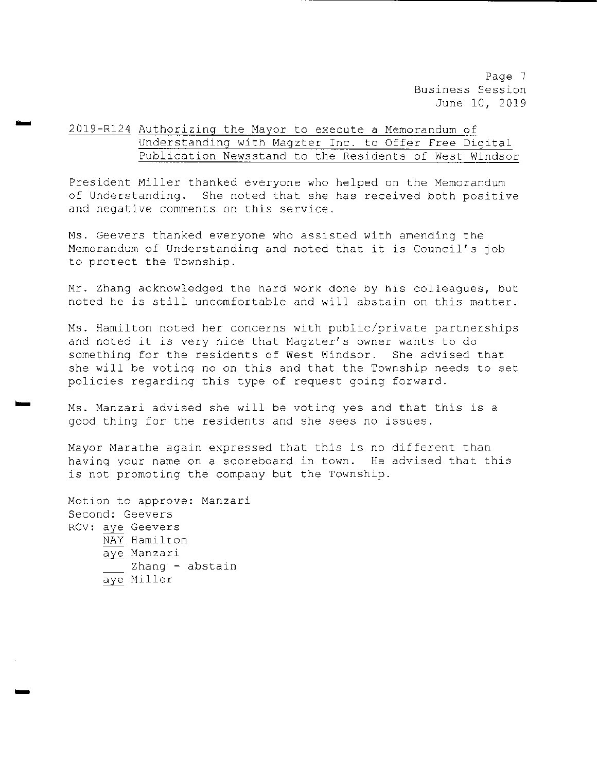Page <sup>7</sup> Business Session June 10, 2019

## 2019- R124 Authorizing the Mayor to execute <sup>a</sup> Memorandum of Understanding with Magzter Inc. to Offer Free Digital Publication Newsstand to the Residents of West Windsor

President Miller thanked everyone who helped on the Memorandum of Understanding. She noted that she has received both positive and negative comments on this service .

Ms . Geevers thanked everyone who assisted with amending the Memorandum of Understanding and noted that it is Council' s job to protect the Township.

Mr. Zhang acknowledged the hard work done by his colleagues, but noted he is still uncomfortable and will abstain on this matter.

Ms. Hamilton noted her concerns with public/private partnerships and noted it is very nice that Magzter' s owner wants to do something for the residents of West Windsor. She advised that she will be voting no on this and that the Township needs to set policies regarding this type of request going forward.

Ms . Manzari advised she will be voting yes and that this is <sup>a</sup> good thing for the residents and she sees no issues .

Mayor Marathe again expressed that this is no different than having your name on <sup>a</sup> scoreboard in town. He advised that this is not promoting the company but the Township.

Motion to approve: Manzari Second: Geevers RCV: aye Geevers NAY Hamilton aye Manzari Zhang - abstain aye Miller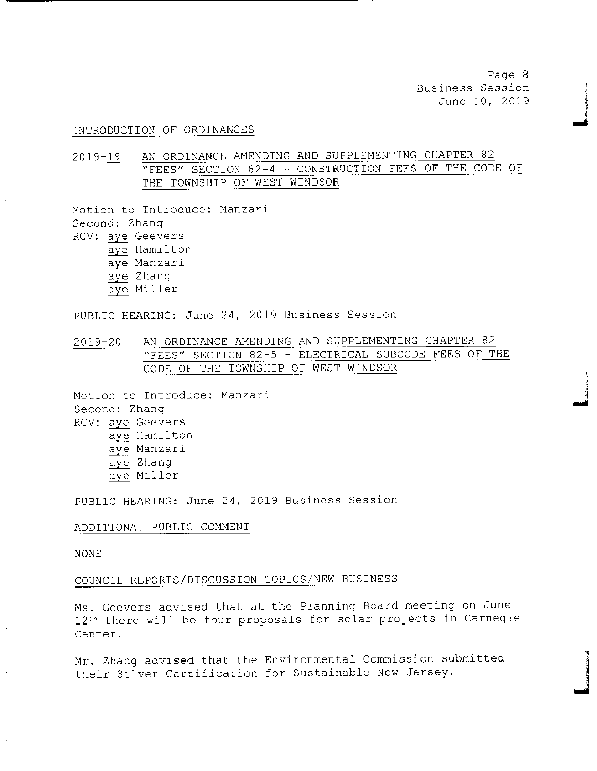Page 8 Business Session June 10, 2019

sj

r

#### INTRODUCTION OF ORDINANCES

## 2019-19 AN ORDINANCE AMENDING AND SUPPLEMENTING CHAPTER 82 "FEES" SECTION 82-4 - CONSTRUCTION FEES OF THE CODE OF THE TOWNSHIP OF WEST WINDSOR

Motion to Introduce: Manzari Second: Zhang RCV: aye Geevers aye Hamilton aye Manzari aye Zhang aye Miller

PUBLIC HEARING: June 24, 2019 Business Session

2019-20 AN ORDINANCE AMENDING AND SUPPLEMENTING CHAPTER 82 "FEES" SECTION 82-5 - ELECTRICAL SUBCODE FEES OF THE CODE OF THE TOWNSHIP OF WEST WINDSOR

Motion to Introduce: Manzari Second: Zhang RCV: aye Geevers aye Hamilton aye Manzari aye Zhang aye Miller

PUBLIC HEARING: June 24, 2019 Business Session

#### ADDITIONAL PUBLIC COMMENT

NONE

COUNCIL REPORTS/ DISCUSSION TOPICS/ NEW BUSINESS

Ms . Geevers advised that at the Planning Board meeting cn June 12th there will be four proposals for solar projects in Carnegie Center.

Mr. Zhang advised that the Environmental Commission submitted their Silver Certification for Sustainable New Jersey.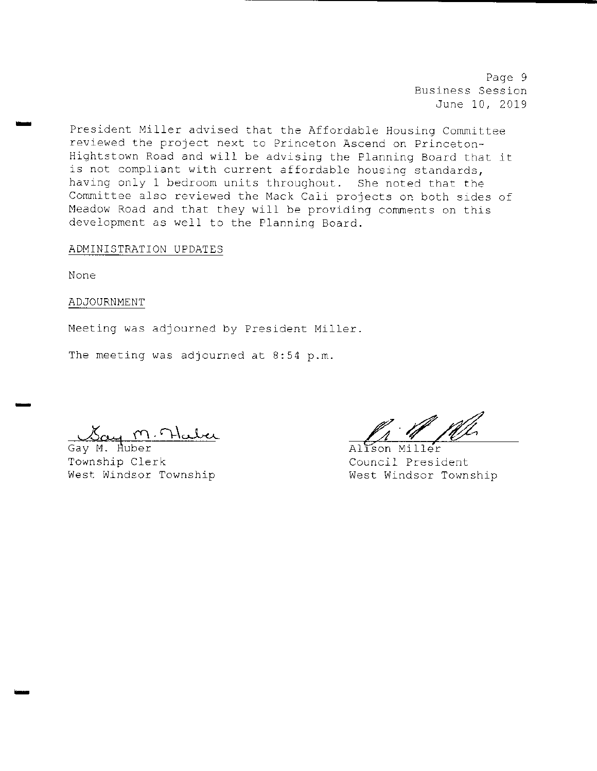Page 9 Business Session June 10, 2019

President Miller advised that the Affordable Housing Committee reviewed the project next to Princeton Ascend on Princeton-Hightstown Road and will be advising the Planning Board that it is not compliant with current affordable housing standards, having only 1 bedroom units throughout. She noted that the Committee also reviewed the Mack Cali projects on both sides of Meadow Road and that they will be providing comments on this development as well to the Planning Board.

#### ADMINISTRATION UPDATES

None

mm

ADJOURNMENT

Meeting was adjourned by President Miller.

The meeting was adjourned at 8:54 p.m.

 $\frac{N}{Gay M. Huber}$  Gay M. Huber

Township Clerk Council President

West Windsor Township Nest Windsor Township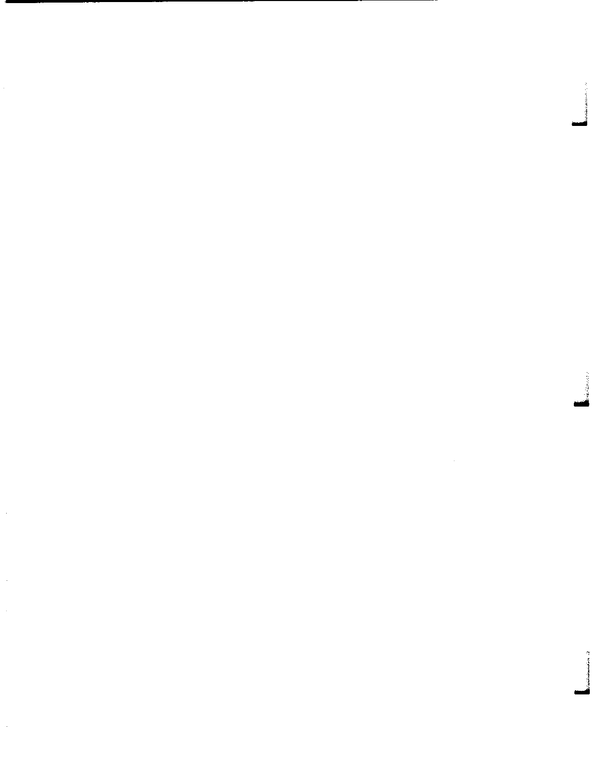$\frac{1}{2}$ 

 $\frac{1}{2}$ 

 $\frac{1}{\sqrt{2}}$ 

 $\frac{1}{2}$ 

 $\frac{1}{\sqrt{2}}$ 

ان التشخصياتية.<br>1

**ready** 

r's Contractor (1985)

 $\mathcal{L}^{\text{max}}_{\text{max}}$  and  $\mathcal{L}^{\text{max}}_{\text{max}}$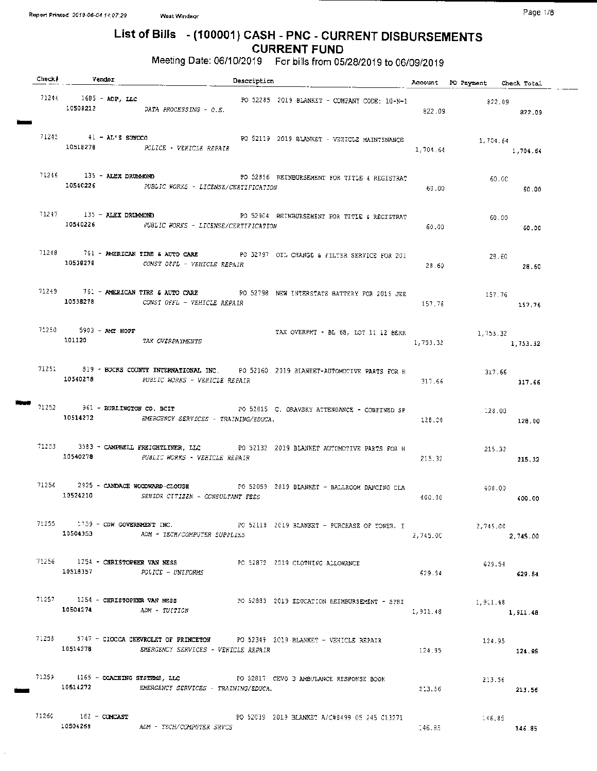11=-

NISI

M

## List of Bills - ( 100001) CASH - PNC - CURRENT DISBURSEMENTS CURRENT FUND

Meeting Date: 06/10/2019 For bills from 05/28/2019 to 06/09/2019

| Check∦ | Vendor                               | Description                                                                                                                            |          | Account PO Payment Check Total |          |
|--------|--------------------------------------|----------------------------------------------------------------------------------------------------------------------------------------|----------|--------------------------------|----------|
|        | $71244$ $1685 - ADP$ , LLC           | PO 52285 2019 BLANKET - COMPANY CODE: 10-N-1<br>$10508212$ DATA PROCESSING - O.E.                                                      | 822.09   | 822.09                         | 822.09   |
|        |                                      | 71245 41 - AL'S SUNOCO COME DE PO 52119 2019 BLANKET - VEHICLE MAINTENANCE<br>10518278 POLICE - VEHICLE REPAIR                         | 1,704.64 | 1.704.64<br>1,704.64           |          |
|        | 71246 135 - ALEX DRUMMOND            | PO 52856 REIMBURSEMENT FOR TITLE & REGISTRAT<br>10540226 PUBLIC WORKS - LICENSE/CERTIFICATION                                          | 60.00    | 60.00                          | 60.00    |
|        | $71247$ $135 - \text{ALEX DRUMMOND}$ | PO 52904 REIMBURSEMENT FOR TITLE & REGISTRAT<br>10540226 PUBLIC WORKS - LICENSE/CERTIFICATION                                          | 60.00 -  | 60,00                          | 60.00    |
|        | 10538278                             | 71248 761 - AMERICAN TIRE & AUTO CARE PO 52797 OIL CHANGE & FILTER SERVICE FOR 201<br>CONST OFFL - VEHICLE REPAIR                      | 28.60    | 28.60                          | 28.60    |
|        |                                      | 71249 761 - AMERICAN TIRE & AUTO CARE 90 52798 NEW INTERSTATE BATTERY FOR 2015 JEE<br>10538278 CONST OFFL - VEHICLE REPAIR             | 157.76   | 157.76                         | 157, 76  |
|        | $71250$ 5903 - AMY HOPF              | TAX OVERPMT - BL 68, LOT 11 12 BERR<br>101120 TAX OVERPAYMENTS                                                                         | 1,753.32 | 1,753.32<br>1,753.32           |          |
|        | 10540278                             | 71251 819 - BUCKS COUNTY INTERNATIONAL INC. PO 52160 2019 BLANKET-AUTOMOTIVE PARTS FOR H<br>PUBLIC WORKS - VEHICLE REPAIR              | 317.66   | 317.66<br>317.66               |          |
|        |                                      | 71252 961 - BURLINGTON CO. BOIT 60 70 52915 C. ORAVSKY ATTENDANCE - CONFINED SP<br>10514272 EMERGENCY SERVICES - TRAINING/EDUCA.       | 128.00   | 128.00                         | 128.00   |
|        | 10540278                             | 71253 3583 - CAMPBELL FREIGHTLINER, LLC 60 52132 2019 BLANKET AUTOMOTIVE PARTS FOR H<br>PUBLIC WORKS - VEHICLE REPAIR                  | 215.32   | 215.32<br>215.32               |          |
|        |                                      | 71254 2925 - CANDACE WOODWARD-CLOUGH PO 52059 2019 BLANKET - BALLROOM DANCING CLA<br>10524210 SENIOR CITIZEN - CONSULTANT FESS         | 400.00   | 400.00<br>400.00               |          |
|        | $71255$ $1759$ - CDW GOVERNMENT INC. | PO 52118 2019 BLANKET - PURCHASE OF TONER, I                                                                                           | 2,745.00 | 2,745.00<br>2,745.00           |          |
|        | 10518357                             | 71256 1254 - CHRISTOPHER VAN NESS<br>PC 52872 2019 CLOTHING ALLOWANCE<br><i>POLICE - UNIFORMS</i>                                      | 629.54   | 629.54                         | 629.54   |
|        | 10504274 ADM - TUITION               | 71257 1254 - CHRISTOPHER VAN NESS 200 2019 EDUCATION REIMBURSEMENT - SPRI                                                              | 1,911.48 | 1,911.48                       | 1,911.48 |
|        | 10514278                             | 71258 5747 - CIOCCA CHEVROLET OF FRINCETON PO 52349 2019 BLANKET - VEHICLE REPAIR<br><i><b>SMERGENCY SERVICES - VEHICLE REPAIR</b></i> | 124.95   | 124.95<br>124.95               |          |
|        |                                      | 71259 4165 - COACHING SYSTEMS, LLC 60 62817 CEVO 3 AMBULANCE RESPONSE 800K<br>10514272 EMERGENCY SERVICES - TRAINING/EDUCA.            | 213.56   | 213.56                         | 213.56   |
|        | $71260$ $162 - COMCAST$              | PO 52039 2019 BLANKET A/C#8499 05 245 013271<br>10504268 ADM - TECH/COMPUTER SRVCS                                                     | 146.85   | 146.86                         | 146.85   |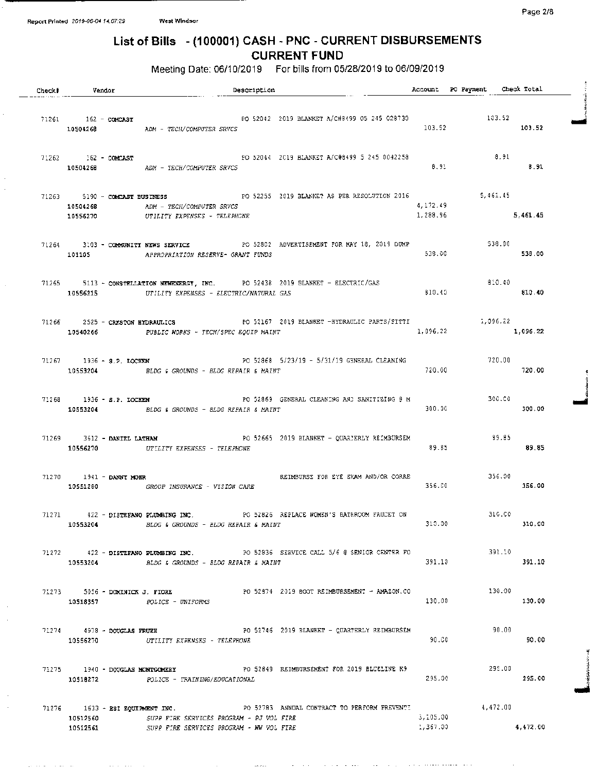$\sim$   $\sim$   $\sim$ 

and and

## List of Bills - ( 100001) CASH - PNC - CURRENT DISBURSEMENTS CURRENT FUND

Meeting Date: 06/10/2019 For bills from 05/28/2019 to 06/09/2019

| Check# Vendor           | Description                                                                                                                                                                   |                      | Account PO Payment Check Total |          |  |
|-------------------------|-------------------------------------------------------------------------------------------------------------------------------------------------------------------------------|----------------------|--------------------------------|----------|--|
|                         | 103.52 162 - <b>CONCAST</b><br>2019 BLANKET A/C#8499 05 245 028730 103.52 103.52<br>10504268 ADM - TECH/COMPUTER SRVCS                                                        |                      |                                |          |  |
| 71262 162 - COMCAST     | PO 52044 2019 BLANKET A/C#8499 5 245 0042258<br>10504268 ADM - TECH/COMPUTER SRVCS                                                                                            | <b>B.91</b>          | 8.91                           | 8.91     |  |
|                         | 71263 6190 - COMONST BUSINESS <b>DESAULTS EN 2018 CONTRACT AS PER RESOLUTION</b> 2016 5,461.45<br>10504268 ADM - TECH/COMPUTER SRVCS<br>10556270 UTILITY EXPENSES - TELEPHONE | 4, 172, 49           | 1,288.96 5,461.45              |          |  |
|                         | 71264 3103 - COMMUNITY NEWS SERVICE THE REPORT OF S2802 ADVERTISEMENT FOR MAY 18, 2019 DUMP<br>101105 APPROPRIATION RESERVE- GRANT FUNDS                                      | 538.00               | 538.00<br>538.00               |          |  |
|                         | 71265 5113 - CONSTELLATION NEWENERGY, INC. PO 52438 2019 BLANKET - ELECTRIC/GAS 410.40 310.40 310.40 10566215<br>10556215 UTILITY EXPENSES - ELECTRIC/NATURAL GAS             |                      | 810.40                         |          |  |
|                         | 71266 2525 - CRESTON HYDRAULICS 60 PO 52167 2019 BLANKET - BYDRAULIC PARTS/SITTI<br>10540266 PUBLIC WORKS - TECH/SPEC EQUIP MAINT                                             | 1,096.22             | 1,096.22                       | 1,096.22 |  |
|                         | 71267 1936 - 8.2. LOCHEN 20 52868 5/23/19 - 5/31/19 GENERAL CLEANING<br>10553204 BLDG & GROUNDS - BLDG REPAIR & MAINT                                                         | 720.00               | 720.00<br>720.00               |          |  |
|                         | 71268 1936 - S.P. LOCKEN COMMERCIAL CHARGES AND SANITIZING @ M<br>10553204 BLDG & GROUNDS - BLDG REPAIR & MAINT                                                               | 300.00               | 300.00                         | 300,00   |  |
|                         | 71269 3612 - DANIEL LATHAM<br>PO 52665 - 2019 BLANKET - QUARTERLY REIMBURSEM<br>10556270 UTILITY EXPENSES - TELEPHONE                                                         | 89.85                | 89.85                          | 89.85    |  |
| 71270 1941 - DANNY MOHR | REIMBURSE FOR EYE EXAM AND/OR CORRE<br>10551280 GROUP INSURANCE - VISION CARE                                                                                                 | 356.00               | 356.00                         | 356.00   |  |
|                         | 71271 422 - DISTEFANO PLUMBING INC.<br>PO 52826 REPLACE WOMEN'S BATHROOM FAUCET ON<br>10553204 BLDG & GROUNDS - BLDG REPAIR & MAINT                                           | 310.00               | 310.CO                         | 310.00   |  |
|                         | 71272 422 - DISTEFANO PLUMBING INC. PO 52836 SERVICE CALL 5/6 @ SENIOR CENTER FO<br>10553204 BLDG & GROUNDS - BLDG REPAIR & MAINT                                             | 391.10               | 391.10                         | 391.10   |  |
|                         | 71273 5056 - DOMINICK J. FIORE 600 PO 52874 2019 BOOT REIMBURSEMENT - AMAZON.CO<br>$10518357$ $POLICE - UNIFOR4S$                                                             | 130.00               | 130.00                         | 130.00   |  |
|                         | 71274 4978 - DOUGLAS FRUEH 1 1 2010 11:46 2019 BLANKET - QUARTERLY REIMBURSEM<br>10556270 UTILITY EXPENSES - TELEPHONE                                                        | 90.CC                | 90.00                          | 90.00    |  |
|                         | 71275 1940 - DOUGLAS MONTGOMERY FO 52849 REIMBURSEMENT FOR 2019 BLUELINE K9<br>10518272 POLICE - TRAINING/EDUCATIONAL                                                         | 295.00               | 295.00                         | 295.00   |  |
| 10512560                | 71276 1633 - ESI EQUIPMENT INC. 20 32783 ANNUAL CONTRACT TO PERFORM PREVENTI<br>SUPP FIRE SERVICES PROGRAM - PJ VOL FIRE<br>10512561 SUPP FIRE SERVICES PROGRAM - WW VOL FIRE | 3,105.00<br>1,367.00 | 4,472.00<br>4,472,00           |          |  |

فتفتيد يتقييد والزواد

المقاط القائمات

 $\mathbb{R}^{n \times n}$ 

 $\sim$  $\sim 10$  11.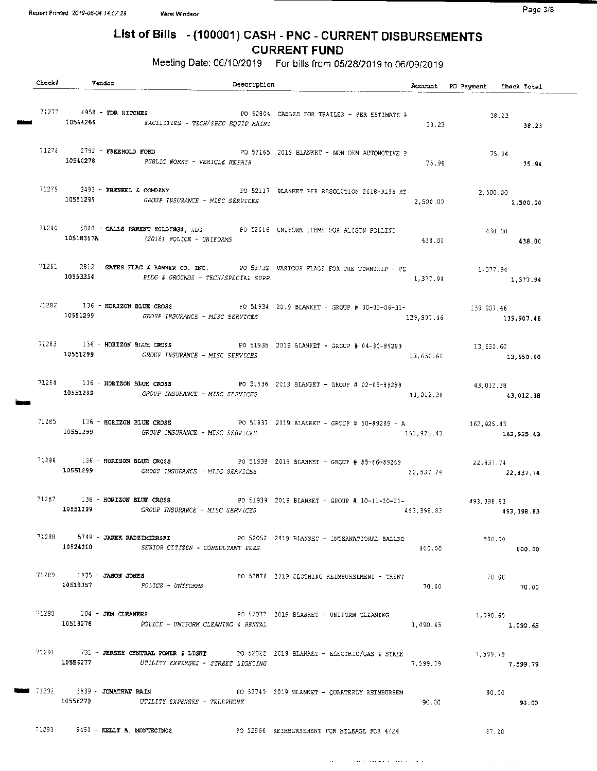# List of Bills - ( 100001) CASH - PNC - CURRENT DISBURSEMENTS CURRENT FUND

Meeting Date: 06/10/2019 For bills from 05/28/2019 to 06/09/2019

|  | Check# Vendor                                | Description                                  |                                                                                                 |            | Account PO Payment Check Total     |
|--|----------------------------------------------|----------------------------------------------|-------------------------------------------------------------------------------------------------|------------|------------------------------------|
|  |                                              | 10544266 FACILITIES - TECH/SPEC EQUIP MAINT  | 71277 <958 - FDR HITCHES TO S2804 CABLES FOR TRAILER - PER ESTIMATE #                           | 38.23      | 38.23<br>38.23                     |
|  |                                              | 10540278 PUBLIC WORKS - VEHICLE REPAIR       | 71278 2792 - FREEHOLD FORD 20 13 2019 BLANKET - NON OEM AUTOMOTIVE 2                            | 75.94      | 75.94                              |
|  |                                              | 10551299 GROUP INSURANCE - MISC SERVICES     | 71279 3493 - FRENKEL & COMPANY PO 52117 BLANKET PER RESOLUTION 2018-R198 HE                     | 2,500.00   | 2,500.00<br>$\frac{1}{2}$ , 500.00 |
|  |                                              | 10518357A (2018) POLICE - UNIFORMS           | 71280 5808 - GALLS PARENT HOLDINGS, LLC 60 52016 UNIFORM ITEMS FOR ALISON POLLINI               |            | 438.00<br>438.00 438.00            |
|  |                                              | 10553354 BLDG & GROUNDS - TECH/SPECIAL SUPP. | 71281 2812 - GATES FLAG & BANNER CO. INC. 20 52732 VARIOUS FLAGS FOR THE TOWNSHIP - PS 1,377.94 | 1,377,94   | 1.377.94                           |
|  | 71282 136 - HORIZON BLUE CROSS               | 10551299 GROUP INSURANCE - MISC SERVICES     | FO 51934 2019 BLANKET - GROUP # 00-03-06-31-<br>139,907.46                                      |            | 139,907.46 139,907.46              |
|  |                                              | 10551299 GROUP INSURANCE - MISC SERVICES     | 71283 136 - HORIZON BLUE CROSS 60 60 90 91935 2019 BLANKET - GROUP # 04-30-89289                | 13,650.60  | 13,650.60                          |
|  |                                              | 10551299 GROUP INSURANCE - MISC SERVICES     |                                                                                                 | 43, 012.38 | $43,012,38$<br>$43,012,38$         |
|  | $71285$ 136 - HORIZON BLUE CROSS<br>10551299 | GROUP INSURANCE - MISC SERVICES              | PO 51937 2019 BLANKET - GROUP # 50-89289 - A 162,925.43                                         |            | 162, 925. 43 162, 925. 43          |
|  |                                              | 10551299 GROUP INSURANCE - MISC SERVICES     | 71236 136 - <b>HORIZON BLUE CROSS PO 51938</b> 2019 BLANKET - GROUP # 85-86-89289 22,837.74     | 22,537.74  | 22,837.74                          |
|  |                                              | 10551299 GROUP INSURANCE - MISC SERVICES     | 71287 136 - HORIZON BLUE CROSS 6 6 1939 2019 BLANKET - GROUP # 10-11-20-21- 493,398.83          |            | 493, 398.83 493, 398.83            |
|  |                                              | 10524210 SENIOR CITIZEN - CONSULTANT FEES    | 71288 5749 - JAREK RADZIMIERSKI 30 32052 2019 BLANKET - INTERNATIONAL BALLEO                    | 800.00     | 300.00<br>800.00                   |
|  | 10518357 POLICE - UNIFORMS                   |                                              | 71289 1835 - JASON JONES COMPONERS DE PO 52870 2019 CLOTHING REIMBURSEMENT - TRENT              | 70.00      | 70.00 -<br>70.00                   |
|  | 71290 204 - JEM CLEANERS                     | 10518276 POLICS - UNIFORM CLEANING & RENTAL  | PO 52077 2019 BLANKET - UNIFORM CLEANING                                                        | 1,090.65   | 1,090.65<br>1.090.65               |
|  |                                              | 10556277 UTILITY EXPENSES - STREET LIGHTING  | 71291 731 - JERSEY CENTRAL POWER & LIGHT PO 52022 2019 BLANKET - ELECTRIC/GAS & STREE           | 7,599.79   | 7,599,79<br>7,599.79               |
|  |                                              | 10556270 UTILITY EXPENSES - TELEPHONE        |                                                                                                 | 90.00      | 90.00<br>90.00                     |
|  | $71293$ $5459$ - KELLY A. MONTECINOS         |                                              | PO 52866 REIMBURSEMENT FOR MILEAGE FOR 4/24                                                     |            | 87.20                              |

 $1.1.1.1.1.1.1$ 

 $\mathcal{L}(\mathcal{A},\mathcal{A})$  ,  $\mathcal{L}(\mathcal{A})$ المراجع والمساوي ويتسعون ويتقارب الماريان

 $\sim$  100 km s and the second continuously as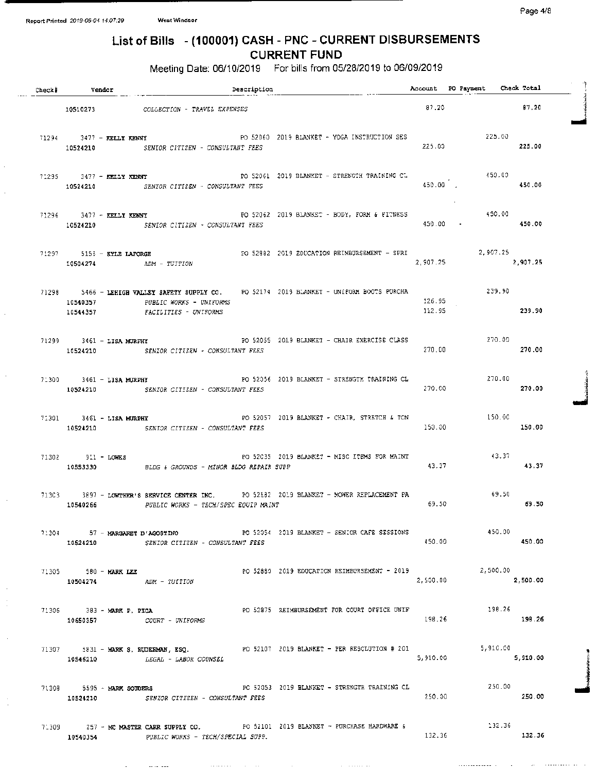$\ldots$  . . . . .

 $1.1.1.1.1.1$ 

 $\ddotsc$ 

and a series are

## List of Bills - ( 100001) CASH - PNC - CURRENT DISBURSEMENTS CURRENT FUND

Meeting Date: 06/10/2019 For bills from 05/28/2019 to 06/09/2019

| Check# Vendor                                      | Description                                                                                                                                            |                  | Account PO Payment Check Total |          |                    |
|----------------------------------------------------|--------------------------------------------------------------------------------------------------------------------------------------------------------|------------------|--------------------------------|----------|--------------------|
|                                                    | 10510273 COLLECTION - TRAVEL EXPENSES                                                                                                                  | 87.20            |                                | 87,20    |                    |
| 71294 3477 - RELLY RENNY                           | PO 52060 2019 BLANKET - YOGA INSTRUCTION SES<br>10524210 SENIOR CITIZEN - CONSULTANT FEES                                                              | 225.00           | 225.00<br>225.00               |          |                    |
|                                                    | 71295 3477 - KELLY KENNY 1999 1999 2006 2019 BLANKET - STRENGTH TRAINING CL<br>10524210 SENIGR CITIZEN - CONSULTANT FEES                               | 450.00           | 450.00<br>450.00               |          |                    |
|                                                    | 71296 3477 - KELLY KENNY<br>PO 52062 2019 BLANKET - BODY, FORM & FITNESS<br>10524210 SENIOR CITIZEN - CONSULTANT FEES                                  |                  | 450.00<br>450.00 - 450.00      |          |                    |
|                                                    | 71297 5158 - KYLE LAFORGE 50 80 82982 2019 2000 ATIMBURSEMENT - SPRI<br>10504274 ADM - TUITION                                                         |                  | 2,907.25 2,907.25              |          |                    |
| 10540357                                           | 71298 5466 - LEHIGH VALLEY SAFETY SUPPLY CO. PO 52174 2019 BLANKET - UNIFORM BOOTS PURCHA<br>PUBLIC WORKS - UNIFORMS<br>10544357 FACILITIES - UNIFORMS | 126.95<br>112.95 | 239.90<br>239.90               |          |                    |
|                                                    | 71299 3461 - LISA MURPHY 6 20 19 20 52055 2019 BLANKET - CHAIR EXERCISE CLASS<br>10524210 SENIOR CITIZEN - CONSULTANT FEES                             | 270,00           | 270.00 00                      | 270.00   |                    |
| $7.300$ $3461 - LISA$ MURPHY                       | PO 52056 2019 BLANKET - STRENGTH TRAINING CL<br>10524210 SENIOR CITIZEN - CONSULTANT FEES                                                              | 270.00           | 270.00                         | 270.00   |                    |
|                                                    | 71301 3461 - LISA MURPHY PO 52057 2019 BLANKET - CHAIR, STRETCH & TON<br>10524210 SENIOR CITIZEN - CONSULTANT FEES                                     | 150.00           | 150.00<br>150.00               |          |                    |
|                                                    | 71302 911 - LOWES 6 2019 8LANKET - NISC ITEMS FOR MAINT<br>10553330 BLDG & GROUNDS - MINOR BLDG REPAIR SUPP                                            | 43.37            | 43.37                          | 43.37    |                    |
|                                                    | 71303 3897 - LOWTHER'S SERVICE CENTER INC. 2019 2019 BLANKET - MOWER REPLACEMENT PA<br>10540266 PUBLIC WORKS - TECH/SPEC EQUIP MAINT                   | 69.50            | 69.50                          | 69.50    |                    |
|                                                    | 71304 57 - MARGARET D'AGOSTINO 60 PC 52054 2019 BLANKET - SENIOR CAFE SESSIONS<br>10524210 SENIOR CITIZEN - CONSULTANT FEES                            | 450.00           | 450.00                         | 450.00   |                    |
| 71305 580 - MARK LEE<br>$10504274$ $ADM - TUITION$ | PO 52880 2019 EDUCATION REIMBURSEMENT - 2019                                                                                                           | 2,500.00         | 2,500.00                       | 2,500.00 |                    |
|                                                    | 71306 383 - MARK P. PICA 2001 2003 2013 2013 2013 2014 2015 2016 2017 2018 2017 2018 2017<br>$10650357$ $COURT - UNIFORMS$                             | 198.26           | 198.26<br>198.26               |          |                    |
| 10546210                                           | 71307 5831 - MARK \$, RUDERMAN, ESQ. 88 20 20 52107 2019 BLANKET - PER RESCLUTION # 201<br>LEGAL - LABOR COUNSEL                                       | 5,910.00         | 5,910.00 200                   | 5,910.00 | <b>Congression</b> |
| $71308$ $5595 - \text{MARK}$ souders               | PC 52053 2019 BLANKET - STRENGTH TRAINING CL<br>10524210 SENIOR CITIZEN - CONSULTANT FEES                                                              | 250.00           | 250.00 00                      | 250.00   |                    |
|                                                    | $71309$ 257 - MC MASTER CARR SUPPLY CO. BOSTOL 2019 BLANKET - PURCHASE HARDWARE &<br>10540354 PUBLIC WORKS - TECH/SPECIAL SUPP.                        | 132.36           | 232.36                         | 132.36   |                    |

 $\sim$  . The mass is a set of  $\sim$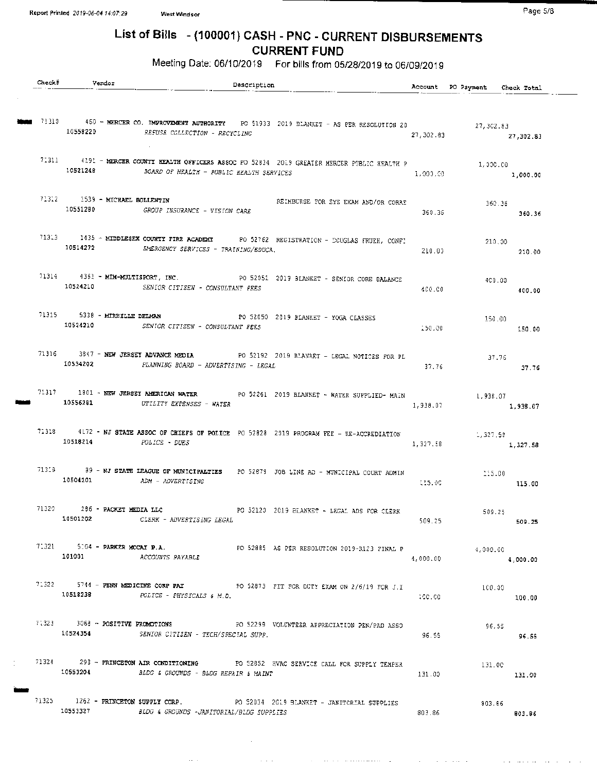# List of Bills - ( 100001) CASH - PNC - CURRENT DISBURSEMENTS CURRENT FUND

Meeting Date: 06/10/2019 For bills from 05/28/2019 to 06/09/2019

| Check# |                                          | Vendor | Description                                                                                                                                              |          | Account PO Payment Check Total |          |
|--------|------------------------------------------|--------|----------------------------------------------------------------------------------------------------------------------------------------------------------|----------|--------------------------------|----------|
|        |                                          |        |                                                                                                                                                          |          |                                |          |
|        |                                          |        | 1991 1991 1210 160 - MERCER CO, IMPROVEMENT AUTHORITY PC 51933 2019 BLANKET - AS PER RESOLUTION 20 27,302.83<br>10558220 REFUSE COLLECTION - RECYCLING   |          | 27, 302.83 27, 302.83          |          |
|        | 10521248                                 |        | 71311 4191 - MERCER COUNTI HEALTH OFFICERS ASSOC PO 52834 2019 GREATER MERCER PUBLIC HEALTH P 4191 41,000.00<br>BOARD OF HEALTH - PUBLIC HEALTH SERVICES | 1,000.00 |                                | 1,000.00 |
|        |                                          |        | 71312 1539 - MICHAEL BOLLENTIN<br>REIMBURSE FOR EYE EXAM AND/OR CORRE<br>10551280 GROUP INSURANCE - VISION CARE                                          | 360.36   | 360.36                         | 360.36   |
|        |                                          |        | 71313 1435 - MIDDLESEX COUNTY FIRE ACADEMY 90 52762 REGISTRATION - DOUGLAS FRUEH, CONFI<br>10514272 EMERGENCY SERVICES - TRAINING/EDUCA.                 | 210.00   | 210,00                         | 210.00   |
|        |                                          |        | 71314 4361 - MIM-MULTISPORT, INC. 20152051 2013 BLANKET - SENIOR CORE BALANCE<br>10524210 SENIOR CITIZEN - CONSULTANT FEES                               | 400.00 L | 400.00 <b>.</b>                | 400.00   |
|        |                                          |        | 71315 5338 - MIREILLE DELMAN PO 52050 2019 BLANKET - YOGA CLASSES<br>10524210 SENIOR CITIZEN - CONSULTANT FEES                                           | 150.00   | 150.00                         | 150.00   |
|        |                                          |        | 71316 3847 - NEW JERSEY ADVANCE MEDIA 60 PO 52192 2019 BLANKET - LEGAL NOTICES FOR PL<br>10534202 PLANNING BOARD - ADVERTISING - LEGAL                   | 37,76    | 37.76                          | 37.76    |
|        | 10556281                                 |        | 71317 1801 - NEW JERSEY AMERICAN WATER PO 52261 2019 BLANKET - WATER SUPPLIED- MAZN<br>UTILITY EXPENSES - WATER                                          | 1,938.07 | 1,938,07                       | 1,938.07 |
|        |                                          |        | 71318 4172 - NJ STATE ASSOC OF CHIEFS OF POLICE 90 52828 2019 PROGRAM FEE - RE-ACCREDIATION<br>10518214 POLICE - DUES                                    | 1,327.58 | 1,327.58                       | 1,327.58 |
|        |                                          |        | 71319 39 - NJ STATE LEAGUE OF MUNICIPALTIES 20 52879 JOB LINE AD - MUNICIPAL COURT ADMIN<br>10504201 ADM - ADVERTISING                                   | 115.00   | 115.00                         | 115.00   |
|        | 71320 286 - PACKET MEDIA LLC<br>10501202 |        | PO 52120 2019 BLANKET - LEGAL ADS FOR CLERK CONTRACT S09.25<br>CLERK - ADVERTISING LEGAL                                                                 | 509.25   |                                | 509.25   |
|        |                                          |        | 71321 5164 - PARKER MCCAY P.A. 600 FO 52885 AS PER RESOLUTION 2019-R123 FINAL P 4,000.00<br>101001 ACCOUNTS PAYABLE                                      | 4,000.00 |                                | 4.000.00 |
|        | 10518238                                 |        | 71322 5744 - PENN MEDICINE CORP PAY 320 90 52873 FIT FOR DUTY EXAM ON 2/6/19 FOR J.I<br>POLICE - PHYSICALS & M.D.                                        | 100.00   | 100.00<br>100.00               |          |
|        | 10524354                                 |        | 71323 3068 - POSITIVE PROMOTIONS 60 90 52299 VOLUNTEER APPRECIATION PEN/PAD ASSO<br>SENIOR CITIZEN - TECH/SPECIAL SUPP.                                  | 96.55    | 96.55                          | 96.55    |
|        |                                          |        | 71324 293 - PRINCETON AIR CONDITIONING PO 52852 HVAC SERVICE CALL FOR SUPPLY TEMPER<br>10553204 BLDG & GROUNDS - BLDG REPAIR & MAINT                     | 131.00   | 131.00                         | 131.00   |
|        | 10553327                                 |        | 71325 1262 - PRINCETON SUPPLY CORP. PO 52034 2019 BLANKET - JANITORIAL SUPPLIES<br>BLDG & GROUNDS -JANITORIAL/BLDG SUPPLIES                              | 803.86   | 803.66<br><b>BO3.86</b>        |          |

 $\alpha$  , and a second mass of  $\alpha$ 

 $\mathcal{L}^{\mathcal{A}}(\mathcal{A})$  . The set of the set of  $\mathcal{A}$ 

 $\sim 10^4$  and  $\sim 10^4$ 

 $\sim 10^{-1}$  k

 $\mathcal{A}^{\mathcal{A}}$  and  $\mathcal{A}^{\mathcal{A}}$ 

 $\mathcal{L}(\mathcal{L})$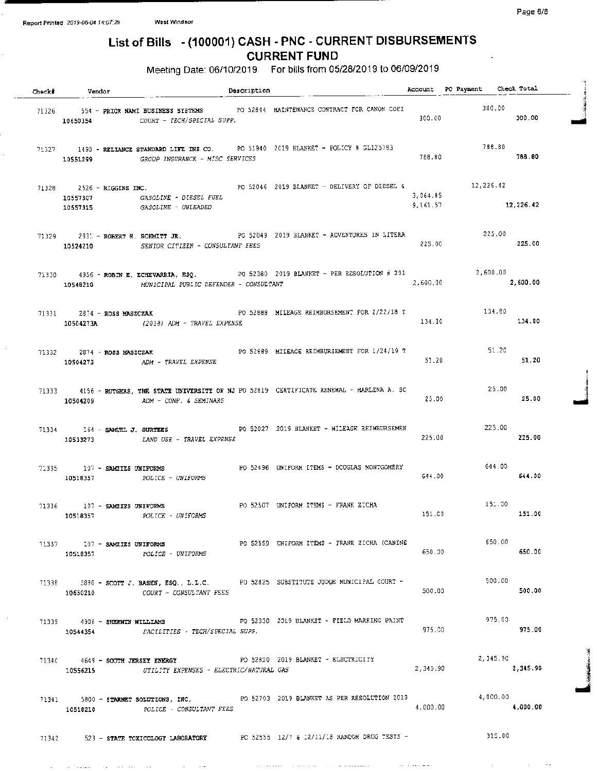$\alpha$  , and  $\alpha$  , and  $\alpha$ 

 $\epsilon$  :

# List of Bills - ( 100001) CASH - PNC - CURRENT DISBURSEMENTS CURRENT FUND

Meeting Date: 06/10/2019 For bills from 05/28/2019 to 06/09/2019

| Check# Vendor |                                                                                                                                                | $\begin{array}{c}\n\textbf{Description}\n\end{array}$ |                                                        |              | Account PO-Payment - Check-Total |                    |                                      |
|---------------|------------------------------------------------------------------------------------------------------------------------------------------------|-------------------------------------------------------|--------------------------------------------------------|--------------|----------------------------------|--------------------|--------------------------------------|
|               | 71326 554 - PRICR NAMI BUSINESS SYSTEMS 20 52844 MAINTENANCE CONTRACT FOR CANON COPI<br>10650354 COURT - TECH/SPECIAL SUPP.                    |                                                       |                                                        | 300.00       | 300.00                           | 300,00             |                                      |
|               | 71327 1495 - RELIANCE STANDARD LIFE INS CO. PO 51940 2019 BLANKET - POLICY # GL125793<br>10551299 GROUP INSURANCE - MISC SERVICES              |                                                       |                                                        | 788.80       | 788.80<br>788.80                 |                    |                                      |
|               | $71328$ $2526 - RIGGINS INC$ .<br>10557307 GASOLINE - DIESEL FUEL<br>10557315 GASOLINE - UNLEADED                                              |                                                       | PO 52046 2019 BLANKET - DELIVERY OF DIESEL 4 12,226.42 | 3,064.85     | 9, 161.57 12, 226.42             |                    |                                      |
|               | 71329 2931 - ROBERT H. SCHMITT JR. 2019 2019 BLANKET - ADVENTURES IN LITERA<br>10524210 SENIOR CITIZEN - CONSULTANT FEES                       |                                                       |                                                        | 225.00       | 225,00<br>225.00                 |                    |                                      |
|               | 71330 4956 - ROBEN E. ECHEVARRIA, ESQ. 90 52380 2019 BLANKET - PER RESOLUTION # 201<br>10548210 MUNICIPAL PUBLIC DEFENDER - CONSULTANT         |                                                       |                                                        | 2,600.00 200 | 2,600.00                         | 2,600.00           |                                      |
|               | 10504273A (2018) ADM - TRAVEL EXPENSE                                                                                                          |                                                       |                                                        | 134.90       | 134.80                           | 134.80             |                                      |
|               | 71332 2874 - ROSS MASZCZAK 2010 2010 2010 2010 2010 2010 2020 2031 204/19 2020 2031 204/19 2020 2031 204/204/<br>10504273 ADM - TRAVEL EXPENSE |                                                       |                                                        | 51.20        | 51.20                            | 51, 20             |                                      |
|               | 71333 4156 - RUTGERS, THE STATE UNIVERSITY OF NJ PO 52819 CERTIFICATE RENEWAL - MARLENA A. SC<br>10504209 ADM - CONF. & SEMINARS               |                                                       |                                                        | 25.00        |                                  | 25.00 000<br>25.00 |                                      |
| 10533273      | 71334 $164$ - SAMUEL J. SURTEES<br>LAND USE - TRAVEL EXPENSE                                                                                   |                                                       | PO 52027 2019 BLANKET - MILEAGE REIMBURSEMEN           | 225.00       | 225.00                           | 225.00             |                                      |
|               | 71335 107 - SAMZIES UNIFORMS 60 100 20196 UNIFORM ITEMS - DOUGLAS MONTGOMERY<br>10518357 POLICE - UNIFORMS                                     |                                                       |                                                        | 544.00       | 644.00<br>644.00                 |                    |                                      |
|               | $71336$ $107 -$ SAMZIES UNIFORMS<br>10518357 POLICE - UNIFORMS                                                                                 |                                                       | PO 52507 UNIFORM ITEMS - FRANK ZICHA                   | 151.00       | 151.00<br>151.00                 |                    |                                      |
|               | $71337 - 107 -$ SAMZIES UNIFORMS<br>10518357 POLICE - UNIFORMS                                                                                 |                                                       | PO 52559 UNIFORM ITEMS - FRANK ZICHA (CANINE           | 650.00       | 650.00                           | 650.00             |                                      |
|               | 71338 5880 - SCOTT J. BASEN, ESQ., L.L.C. PO 52825 SCBSTITUTE JUDGE MUNICIPAL COURT -<br>10650210 COURT - CONSULTANT FEES                      |                                                       |                                                        | 500.00       | 500.00                           | 500.00             |                                      |
|               | 71339 4908 - SHERWIN WILLIAMS<br>10544354 FACILITIES - TECH/SPECIAL SUPP.                                                                      |                                                       | PO 52330 2019 BLANKET - FIELD MARKING PAINT            | 975.00       | 975.00                           | 975.00             |                                      |
|               | 71340 4649 - SOUTH JERSEY ENERGY<br>10556215 UTILITY EXPRNSES - ELECTRIC/NATURAL GAS                                                           |                                                       | PO 52820 2019 BLANKET - ELECTRICITY                    | 2,345.90     | 2,345.90                         | 2,345.90           | <b>Committee Committee Committee</b> |
|               | 71341 5800 - STARNET SOLUTIONS, INC. PO 52703 2019 BLANKET AS PER RESOLUTION 2019<br>10518210 POLICE - CONSULTANT FEES                         |                                                       |                                                        | 4,000.00     | 4,000.00                         | 4,000.00           |                                      |
|               | 71342 523 - STATE TOKICOLOGY LABORATORY PC 52555 12/7 & 12/11/13 RANDOM DRUG TESTS -                                                           |                                                       |                                                        |              | 315.00                           |                    |                                      |

بالمستنبذ والمحامل والمتحدث

and the same same

. . . . . . . . . .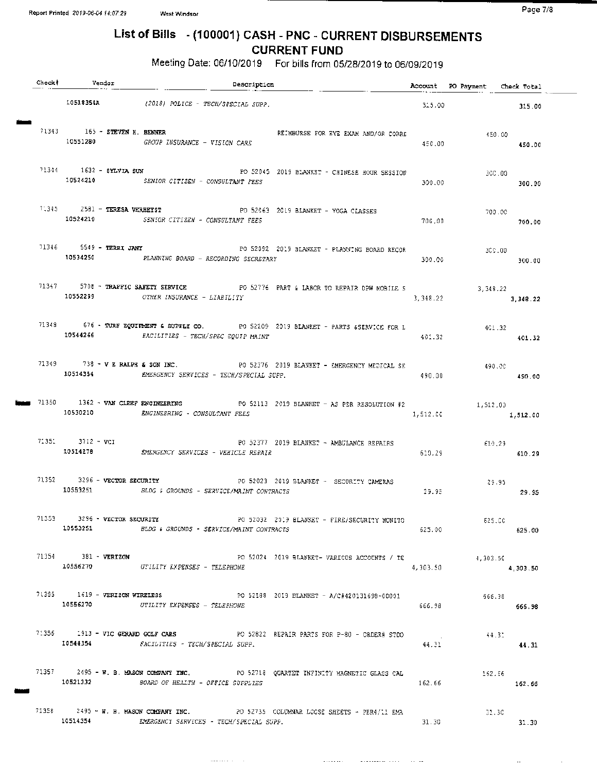IRMO

# List of Bills - ( 100001) CASH - PNC - CURRENT DISBURSEMENTS CURRENT FUND

Meeting Date: 06/10/2019 For bills from 05/28/2019 to 06/09/2019

| Check# | Vendor                                   | Description                                                                                                                                                                   |            | Account PO Payment Check Total |          |
|--------|------------------------------------------|-------------------------------------------------------------------------------------------------------------------------------------------------------------------------------|------------|--------------------------------|----------|
|        |                                          | 10518354A (2018) POLICE - TECH/SPSCIAL SUPP.                                                                                                                                  | 315.00     |                                | 315.00   |
|        | 71343 165 - STEVEN H. BENNER             | REIMBURSE FOR EYE EXAM AND/OR CORRE<br>10551280 GROUP INSURANCE - VISION CARS                                                                                                 | 450.00     | 450.00<br>450.00               |          |
|        |                                          | 71344 1632 - SYLVIA SUN<br>PO 52045 2019 BLANKET - CHINESE HOUR SESSION<br>10524210 SENIOR CITIZEN - CONSULTANT FEES                                                          | 300.00     | 300.00 M                       | 300.00   |
|        |                                          | 71345 2581 - TERESA VERBEYST 6 8 2019 BLANKET - YOGA CLASSES<br>10524210 SENIOR CITIZEN - CONSULTANT FEES                                                                     | 706,00     | 700.00                         | 700.00   |
|        | 71346 5549 - TERRI JANY                  | PO 52092 2019 BLANKET - PLANNING BOARD RECOR<br>10534250 PLANNING BOARD - RECORDING SECRETARY                                                                                 | 300.00     | 300.00<br>300.00               |          |
|        |                                          | 71347 5708 - TRAFFIC SAFETY SERVICE PO 52776 PART & LABOR TO REPAIR OPW MOBILE S<br>10552299 OTHER INSURANCE - LIABILITY                                                      | 3, 348, 22 | 3, 348.22                      | 3,348.22 |
|        |                                          | 71348 676 - TURE EQUIFMENT & SUPPLY CO. PO 52209 2019 BLANKET - PARTS & SERVICE FOR L<br>10544266 FACILITIES - TECH/SPEC EQUIP MAINT                                          | 401.32     | 4C1.32<br>401.32               |          |
|        |                                          | 10514354 EMERGENCY SERVICES - TECH/SPECIAL SUPP.                                                                                                                              | 490.00     | 490.00<br>490.00               |          |
|        |                                          | $\frac{1350}{42}$ 71350 $\frac{1362 - v_{NN}}{42}$ cleef engineering $\frac{1350}{42}$ PO 52113 2019 BLANKET - AS PSR RESOLUTION #2<br>10530210 ENGINEERING - CONSULTANT FEES | 1,512.00   | 1,512.00<br>1,512.00           |          |
|        | 71351 3712 - $vct$                       | PO 52377 2019 BLANKET - AMBULANCE REPAIRS<br>10514278 SMERGENCY SERVICES - VEHICLE REPAIR                                                                                     |            | 610, 29<br>610.29 610.29       |          |
|        | $71352$ $3296 -$ <b>VECTOR SECURITY</b>  | PO 52023 2019 BLANKET - SECORITY CAMERAS<br>10553251 BLDG & GROUNDS - SERVICE/MAINT CONTRACTS                                                                                 | 29.95      | 29.95                          | 29.95    |
|        | 71353 3296 - VECTOR SECURITY<br>10553251 | PO 52032 2019 BLANKET - FIRE/SECURITY MONITO<br>BLDG & GROUNDS - SERVICE/MAINT CONTRACTS                                                                                      | 625.00     | 625.CC                         | 625.00   |
|        | 71354 381 - VERIZON                      | PO 52024 2019 BLANKET- VARICUS ACCOUNTS / TE<br>10556270 GTILITY EXPENSES - TELEPHONE                                                                                         | 4,303.50   | 4, 303.50<br>4,303.50          |          |
|        | $71355$ $1619$ - VERIZON WIRELESS        | PO 52188 2019 BLANKET - A/C#420131698-00001<br>10556270 UTILITY EXPENSES - TELEPHONE                                                                                          | 666.98     | 566.98<br>666.98               |          |
|        | 10544354                                 | 71356 1913 - VIC GERARD GOLF CARS BORD PO 52822 REPAIR PARTS FOR P-80 - CRDER# STDO<br>FACILITIES - TECH/SPECIAL SUPP.                                                        | 44.31      | 44.31                          | 44.31    |
|        |                                          | 71357 2495 - W. B. MASON COMPANY INC. PO 52718 QUARTET INFINITY MAGNETIC GLASS CAL<br>10521332 BOARD OF HEALTH - OFFICE SUPPLIES                                              | 162.66     | 152.56                         | 162.66   |
|        | 10514354                                 | 71358 2495 - W. B. MASON COMPANY INC. 20 52735 COLUMNAR LOGSE SHEETS - PER4/11 EMA<br>EMERGENCY SERVICES - TECH/SPECIAL SUPP.                                                 | 31.30      | 31.30                          | 31.30    |

 $\begin{minipage}{.4\linewidth} \begin{tabular}{l} \hline \textbf{1} & \textbf{2} & \textbf{3} & \textbf{4} & \textbf{5} & \textbf{6} & \textbf{7} & \textbf{8} & \textbf{9} & \textbf{10} & \textbf{10} & \textbf{10} & \textbf{10} & \textbf{10} & \textbf{10} & \textbf{10} & \textbf{10} & \textbf{10} & \textbf{10} & \textbf{10} & \textbf{10} & \textbf{10} & \textbf{10} & \textbf{10} & \textbf{10} & \textbf{10$ 

 $\bar{\phi}$ 

 $\sim$ 

 $\frac{1}{2}$  , and  $\frac{1}{2}$  ,  $\frac{1}{2}$  ,  $\frac{1}{2}$  ,  $\frac{1}{2}$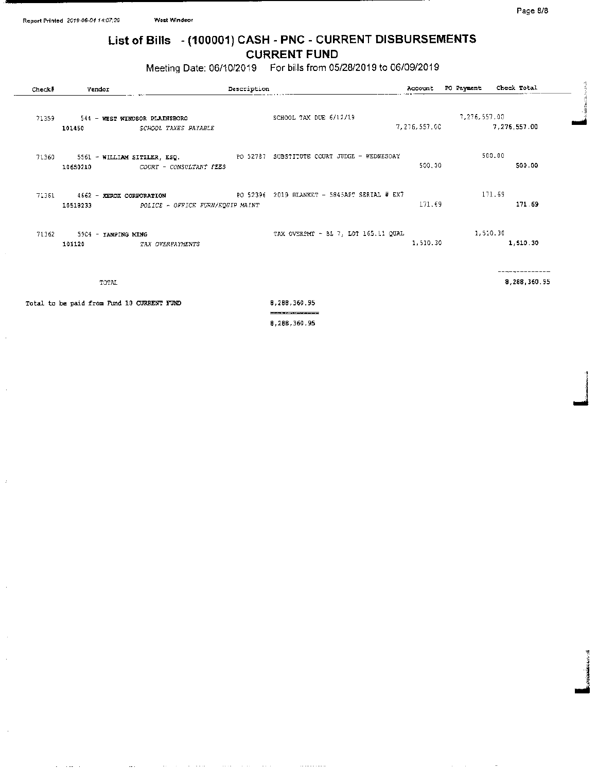$\sim$  14  $\sim$ 

## List of Bills - (100001) CASH - PNC - CURRENT DISBURSEMENTS CURRENT FUND

Meeting Date: 06/10/2019 For bills from 05/28/2019 to 06/09/2019

| Check# | Vendor                                     | Description                      |                                                                             | Account      | PO Payment     | Check Total      |
|--------|--------------------------------------------|----------------------------------|-----------------------------------------------------------------------------|--------------|----------------|------------------|
| 71359  | 544 - WEST WINDSOR PLAINSBORO<br>101450    | SCHOOL TAXES PAYABLE             | SCHOOL TAX DUE 6/12/19                                                      | 7,276,557.00 | 7, 276, 557.00 | 7,276,557.00     |
| 71360  | 10650210                                   | COURT - CONSULTANT FEES          | 5561 - WILLIAM SITZLER, ESQ. 60 PO 52787 SUBSTITUTE COURT JUDGE - WEDNESDAY | 500.00       |                | 500.00<br>500.00 |
| 71361  | 4662 - XEROX CORPORATION<br>10518233       | POLICE - OFFICE FURN/EQUIP MAINT | PO 52396 2019 BLANKET - 5845AFT SERIAL # EX7                                | 171.69       |                | 171.69<br>171.69 |
| 71362  | 5904 - YANPING MING<br>101120              | TAX OVERFAYMENTS                 | TAX OVERPMT - BL 7, LOT 165.11 QUAL                                         | 1,510.30     | 1,510.30       | 1,510.30         |
|        | TOTAL                                      |                                  |                                                                             |              |                | 8,288,360.95     |
|        | Total to be paid from Fund 10 CURRENT FUND |                                  | 8,288,360.95                                                                |              |                |                  |

8, 286, 360. 95

المنفار منابا فمطار الفطفاف

 $\mathbf{r}$  and  $\mathbf{r}$ 

. . . . . . . . . . . .

ة<br>أحداث

 $\mathcal{L}_{\mathcal{A}}$ 

MIS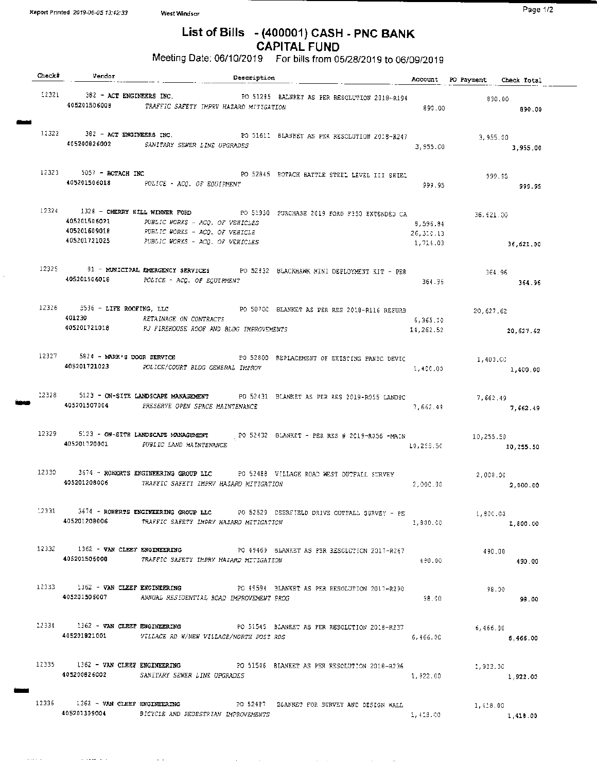USN

 $\sim$  , , , ,  $\sim$ 

 $\bar{z}$  .

 $\mathcal{L}^{\mathcal{L}}$ 

 $\sim 10^{-11}$ 

 $\sim 10^{11}$  km

 $\sim$ 

ù,

## List of Bills - (400001) CASH - PNC BANK CAPITAL FUND

Meeting Date: 06/10/2019 For bills from 05/28/2019 to 06/09/2019

| Check#      | Vendor                                       | Description                                                                                                                                                                               |                                   | Account PO Payment Check Total |           |
|-------------|----------------------------------------------|-------------------------------------------------------------------------------------------------------------------------------------------------------------------------------------------|-----------------------------------|--------------------------------|-----------|
|             |                                              | 12321 382 - ACT ENGINEERS INC. 2018 PO 51285 BALNKET AS PER RESOLUTION 2018-R194<br>405201506008 TRAFFIC SAFETY IMPRV HAZARD MITIGATION                                                   | 890.00                            | 890.00                         | 890.00    |
|             |                                              | 12322 382 - ACT ENGINEERS INC. PO 51611 BLANKET AS PER RESOLUTION 2018-R247<br>405200826002 SANITARY SEWER LINE UPGRADES                                                                  | 3,955.CO                          | 3,955.00<br>3,955.00           |           |
|             |                                              | 12323 5057 - BOTACH INC 80 PO 52845 BOTACH BATTLE STEEL LEVEL III SHIEL<br>405201506018 POLICE - ACQ. OF EQUIPMENT                                                                        | 999.95                            | 999.95                         | 999.95    |
|             | 405201506021<br>405201609018<br>405201721025 | 12324 1328 - CHERRY WILL WINNER FORD PO 51930 PURCHASE 2019 FORD F350 EXTENDED CA<br>PUBLIC WORKS - ACQ. OF VEHICLES<br>PUBLIC WORKS - ACQ. OF VEHICLE<br>PUBLIC WORKS - ACQ. OF VEHICLES | 5,596.94<br>26,310.13<br>1,714.03 | 36,621.00                      | 36,621,00 |
|             |                                              | 12325 81 - MUNICIPAL EMERGENCY SERVICES PO 52832 BLACKHAWK MINI DEPLOYMENT KIT - PER<br>405201506018 POLICE - ACQ. OF EQUIPMENT                                                           | 364.36                            | 364.96                         | 364.96    |
|             | 401230                                       | 12326 5536 - LIFE ROOFING, LLC PO 50700 BLANKET AS FSR RSS 2018-R116 REFURB<br>RETAINAGE ON CONTRACTS<br>405201721018 PJ FIREHOUSE ROOF AND BLDG IMPROVEMENTS                             | 6,365,10<br>14,262.52             | 20,627.62                      | 20.627.62 |
|             |                                              | 12327 5824 - MARK'S DOOR SERVICE FOR S2800 REPLACEMENT OF EXISTING PANIC DEVIC<br>405201721023 POLICE/COURT BLDG GENERAL IMPROV                                                           | 1,400.00                          | 1,400.00<br>1,400.00           |           |
|             |                                              | 12328 5123 - ON-SITE LANDSCAPE MANAGEMENT PO 52431 BLANKET AS PER RES 2019-RO55 LANDSC<br>405201507004 PRESERVE OPEN SPACE MAINTENANCE                                                    | 7,662.49                          | 7,662.49<br>7,662.49           |           |
|             |                                              | 12329 5123 - ON-SITE LANDSCAPE MANAGEMENT<br>PO 52432 BLANKET - PER RES # 2019-R056 - MAIN<br>405201720001 PUBLIC LAND MAINTENANCE                                                        | 10,255.50                         | 10,255.50                      | 10,255.50 |
|             |                                              | 12330 3674 - ROBERTS ENGINEERING GROUP LLC PO 52488 VILLAGE ROAD WEST OUTFALL SURVEY<br>405201208006 TRAFFIC SAFETY IMPRV HAZARD MITIGATION                                               |                                   | 2,000.00 2,000.00              |           |
| 12331 - 123 |                                              | 3674 - ROBERTS ENGINEERING GROUP LLC PO 52529 DEERFIELD DRIVE OUTFALL SURVEY - PE<br>405201208006 TRAFFIC SAFETY IMPRV HAZARD MITIGATION                                                  | $1.800.\, \mathrm{G}\mathrm{O}$   | 1,800.00                       | 1,800.00  |
|             |                                              | 12332 1362 - VAN CLEEF ENGINEERING 20 49469 BLANKET AS PSR RESOLUTION 2017-R267<br>405201506008 TRAFFIC SAFETY IMPRV HAZARD MITIGATION                                                    | 490.00                            | 490.00                         | 490.00    |
|             |                                              | 1333 1362 - VAN CLEEF ENGINEERING FO 49594 BLANKET AS PER RESOLUTION 2017-R290<br>405201506007 ANNUAL RESIDENTIAL ROAD IMPROVEMENT PROG                                                   | 98.00                             | 98.00                          | 98.00     |
|             |                                              | 1334 1362 - VAN CLEEF ENGINEERING 60 PO 51545 BLANKET AS PER RESOLUTION 2018-R237<br>405201821001 - VILLAGE RD W/NEW VILLAGE/NORTH POST RDS                                               | 6,466,00                          | 6,466.00                       | 6,466.00  |
|             |                                              | 1335 1362 - VAN CLEEF ENGINEERING 20 51546 BLANKET AS PSR RESOLUTION 2018-8236<br>405200826002 SANITARY SEWER LINE UPGRADES                                                               | 1,922.00                          | 1,922.00<br>1,922.00           |           |
|             |                                              | 12336 1362 - VAN CLEEF ENGINEERING 20 52487 SLANKET FOR SURVEY AND DESIGN WALL<br>405201309004 BICYCLE AND PEDESTRIAN IMPROVEMENTS                                                        | 1,413.00                          | 1,418.00<br>1,418.00           |           |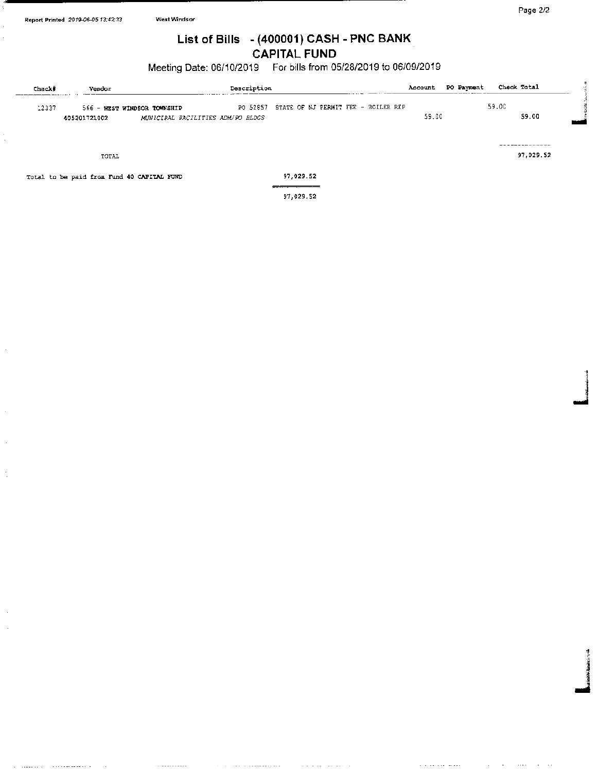$\dots$  . . . . . . .

. . . . . . . . . . . . .

والمتفاء والفساف فالما

and a construction

# List of Bills - (400001) CASH - PNC BANK CAPITAL FUND

Meeting Date: 06/10/2019 For bills from 05/28/2019 to 06/09/2019

| <b>Chack#</b> | Vendor                                     | Description                                                                  |                                     | Account | PO Payment |       | Check Total |
|---------------|--------------------------------------------|------------------------------------------------------------------------------|-------------------------------------|---------|------------|-------|-------------|
| $-2337$       | 405201721002                               | PO 52857<br>566 - WEST WINDSOR TOWNSHIP<br>MUNICIPAL FACILITIES ADM/PO BLDGS | STATE OF NJ PERMIT FEE - BOILER REP | 59.00   |            | 59.00 | 59.00       |
|               | TOTAL                                      |                                                                              |                                     |         |            |       | 97,029.52   |
|               | Total to be paid from Fund 40 CAPITAL FUND |                                                                              | 97,029.52                           |         |            |       |             |
|               |                                            |                                                                              | 97,029.52                           |         |            |       |             |

Page 2/2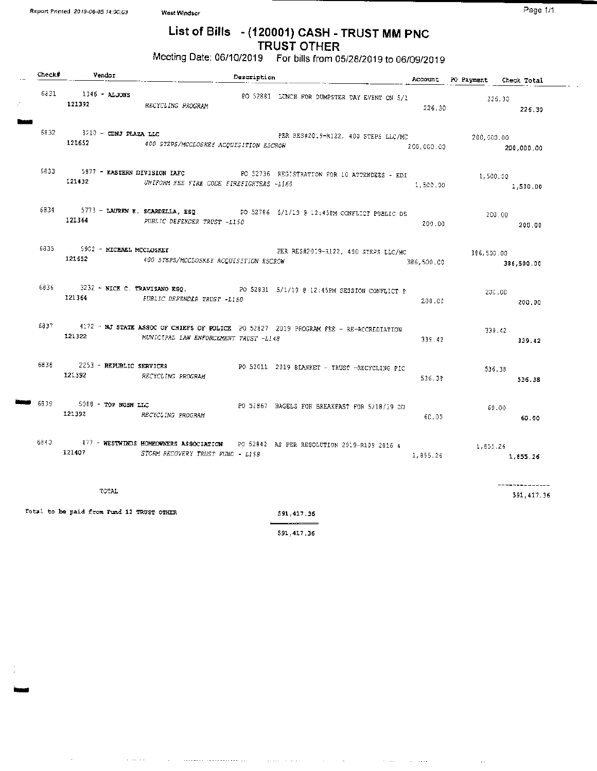## List of Bills - (120001) CASH - TRUST MM PNC TRUST OTHER

Meeting Date: 06/10/2019 For bills from 05/28/2019 to 06/09/2019

| $Check$ # | $v_{\text{endor}}$                        | Description                                                                                                                         |                                                |            | Account PO Payment Check Total |                                 |
|-----------|-------------------------------------------|-------------------------------------------------------------------------------------------------------------------------------------|------------------------------------------------|------------|--------------------------------|---------------------------------|
|           | 6831 1346 - ALJONS                        | 121392 RECYCLING PROGRAM                                                                                                            | PO 52861 LUNCH FOR DUMPSTER DAY EVENT ON 5/1   | 226.30     | 226.30                         | 226.30                          |
|           | 6832 3210 - CDNJ PLAZA LLC                | 121652 400 STZPS/MCCLOSKEY ACQUISITION ESCROW                                                                                       | PER RES#2019-R122, 400 STEPS LLC/MC 200,000.00 |            | 200,000.00 200,000.00          |                                 |
|           | 121432                                    | 6833 5877 - EASTERN DIVISION IAFC PC 52736 REGISTRATION FOR 10 ATTENDEES - EDI<br>UNIFORM FEE FIRE CODE FIREFIGHTERS -L160          |                                                | 1,500,00   | 1,500.00                       | 1,500.00                        |
|           | 121364                                    | 6834 5773 - LAUREN E. SCARDELLA, ESQ. 60 52786 5/1/13 8 12:45PM CONFLICT PUBLIC DE<br>PUBLIC DEFENDER TRUST -L150                   |                                                | 200.00     | 200.00 00                      | 200,00                          |
|           | 121652                                    | 6835 5902 - MICHAEL MCCLOSKEY CONTROL 2DER RES#2019-R122, 400 STEFS LLC/MC<br>400 STEPS/MCCLOSKEY ACQUISITION ESCROW                |                                                | 386,500.00 | 386.500.00                     | 386,500.00                      |
|           |                                           | 6836 3232 - NICK C. TRAVISANO ESQ. 20 52831 5/1/19 8 12:45PM SESSION CONFLICT P<br>121364 FUBLIC DEFENDER TRUST -LI50               |                                                | 200.00     | 200.00                         | 200.00                          |
|           | 121322                                    | 6837 4172 - NJ STATE ASSOC OF CHIEFS OF POLICE 20 52827 2019 PROGRAM FEE - RE-ACCREDIATION<br>MUNICIPAL LAW ENFORCEMENT TRUST -L148 |                                                | 339.42     | 339.42                         | 339.42                          |
|           | 121392                                    | 6838 2253 - REPUBLIC SERVICES PO 52011 2019 BLANKET - TRUST - RECYCLING PIC<br>RECYCLING PROGRAM                                    |                                                | 536.38     | 536.38                         | 536.38                          |
|           | 121392                                    | 6839 5088 - TOP NOSH LLC $PO$ 52867 BAGELS FOR BREAKFAST FOR 5/18/19 20<br>RECYCLING PROGRAM                                        |                                                | 60.00      | 60.00 -                        | 60.00                           |
|           |                                           | 6840 477 - WESTWINDS HOMEOWNERS ASSOCIATION PO 52842 AS PER RESOLUTION 2019-R109 2016 &<br>121407 STORM RECOVERY TRUST FUND - LISB  |                                                | 1,855.26   | 1,855.26                       | 1,855.26                        |
|           | TOTAL                                     |                                                                                                                                     |                                                |            |                                | ---------------<br>591, 417, 36 |
|           | Total to be paid from Fund 12 TRUST OTHER |                                                                                                                                     | 591, 417.36                                    |            |                                |                                 |

591, 417. 36

 $\sim 10^{-11}$ 

 $\sim 10^7$ 

 $\mathcal{O}(\mathcal{S}^2)$  and  $\mathcal{O}(\mathcal{S}^2)$  . The same

 $\bar{\psi}$ 

المسالم المتناول المتناقص والمستنقذ والمستنقل

 $\sim 100$  and  $\sim 100$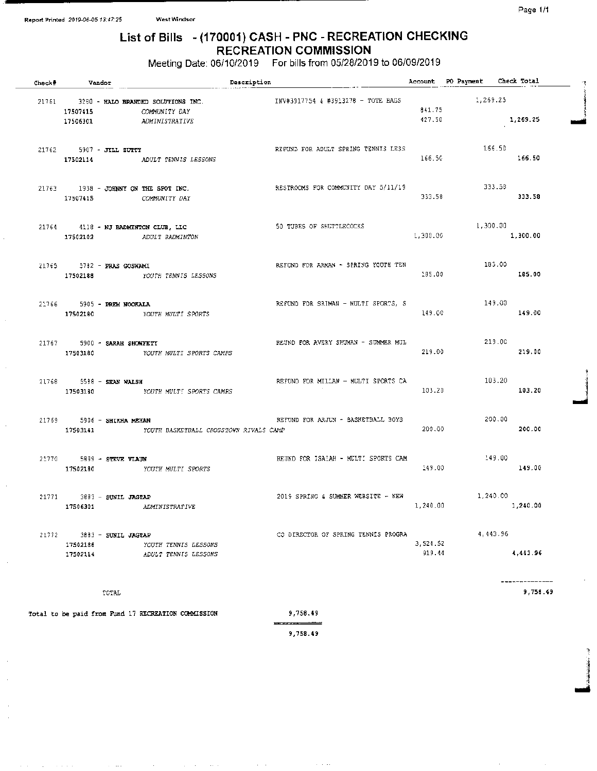## List of Bills - ( 170001) CASH - PNC - RECREATION CHECKING RECREATION COMMISSION

Meeting Date: 06/10/2019 For bills from 05/28/2019 to 06/09/2019

| Check# | Vendor                                                                          | Description                                     |                                     |                    | Account PO Payment Check Total |          |
|--------|---------------------------------------------------------------------------------|-------------------------------------------------|-------------------------------------|--------------------|--------------------------------|----------|
|        | 21761 3280 - HALO BRANDED SOLUTIONS INC.<br>17507415<br>17506301 ADMINISTRATIVE | COMMUNITY DAY                                   | INV#3917754 & #3913278 - TOTE BAGS  | 841.75<br>427.50   | 1, 269.25                      | 1,269.25 |
|        | 21762 5907 - JILL ZUTTY                                                         | 17502114 ADULT TENNIS LESSONS                   | REFUND FOR ADULT SPRING TENNIS LESS | 166.50             | 166.50                         | 166.50   |
|        | $21763$ 1938 - JOHNNY ON THE SPOT INC.<br>17507415 COMMUNITY DAY                |                                                 | RESTROOMS FOR COMMUNITY DAY 5/11/19 | 333.58             | 333.58<br>333.58               |          |
|        | 21764 4118 - NJ BADMINTON CLUB, LLC<br>17502102 ADULT BADMINTON                 |                                                 | 50 TUBES OF SHUTTLECOCKS            |                    | 1,300.00<br>1,300.00 1,300.00  |          |
|        | 21765 5782 - FRAS GOSWAMI                                                       | 17502188 YOUTH TENNIS LESSONS                   | REFUND FOR ARMAN - SPRING YOUTH TEN | 185.00             | 185.00                         | 185.00   |
|        | 21766 5905 - PREM NOOKALA<br>17502180 YOUTH MULTI SPORTS                        |                                                 | REFUND FOR SRIMAN - MULTI SPORTS, S | 149.CC             | 149.00                         | 149.00   |
|        | 21767 5900 - SARAH SHOWTETY<br>17503180                                         | YOUTH MULTI SPORTS CAMPS                        | REUND FOR AVERY SHUMAN - SUMMER MUL | 219.00             | 219.00                         | 219.00   |
|        | 21768 5588 - SEAN WALSH                                                         | 17503180 YOUTH MULTI SPORTS CAMPS               | REFUND FOR MILLAN - MULTI SPORTS CA | 103.20             | 103.20                         | 103.20   |
|        | 21769 5906 - SHIKHA MEHAN                                                       | 17503141 YOUTH BASKETBALL CROSSTOWN RIVALS CAMP | REFUND FOR ARJUN - BASKETBALL BOYS  | 200.00             | 200.00                         | 200.00   |
|        | $21770$ 5899 - STEVE VLAUN<br>17502180 YOUTH MULTI SPORTS                       |                                                 | REUND FOR ISAIAH - MULTI SPORTS CAM | 149.00             | 149.00                         | 149.00   |
|        | $21771$ $3883 -$ sunii JAGTAP<br>17506301                                       | ADMINISTRATIVE                                  | 2019 SPRING & SUMMER WEBSITE - NEW  | 1,240.00           | 1, 240, 00<br>1,240.00         |          |
| 21772  | 3883 - SUNIL JAGTAP<br>17502186<br>17502114                                     | YOUTH TENNIS LESSONS<br>ADULT TENNIS LESSONS    | CO DIRECTOR OF SPRING TENNIS PROGRA | 3,524.52<br>919.44 | 4,443.96                       | 4,443.96 |
|        | TOTAL                                                                           |                                                 |                                     |                    |                                | 9,758.49 |

Total to be paid from Fund 17 RECREATION COMMISSION 9,758.49

 $\sim$  .

9, 758. 49

 $\sim$   $\sim$   $\sim$ 

 $\Delta \sim 10$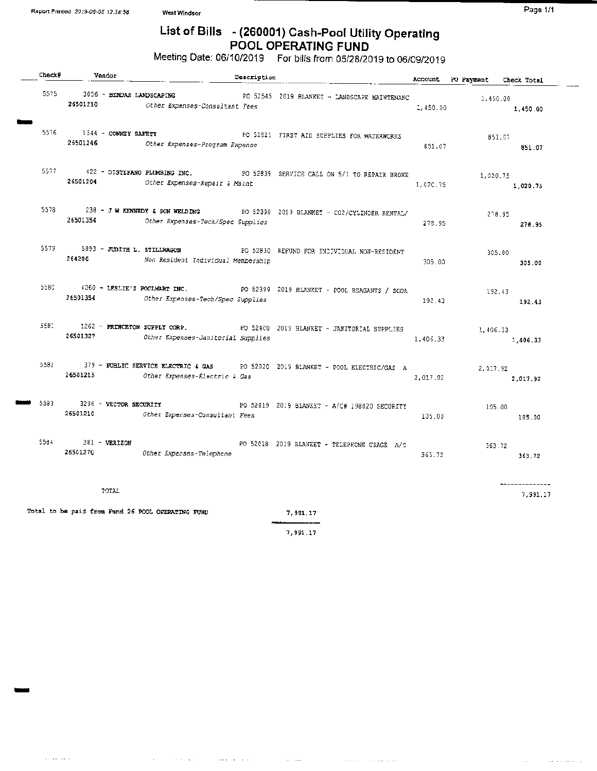$\tau$  , and an  $\tau$ 

# List of Bills - ( 260001) Cash- Pool Utility Operating POOL OPERATING FUND

Meeting Date: 06/10/2019 For bills from 05/28/2019 to 06/09/2019

| Check# |                                           | Vendor          | Description                                                            |                                                                                 |          | Account PO Payment | Check Total                |
|--------|-------------------------------------------|-----------------|------------------------------------------------------------------------|---------------------------------------------------------------------------------|----------|--------------------|----------------------------|
| 5575   | 26501210                                  |                 | Other Expenses-Consultant Fees                                         | 3056 - BENDAS LANDSCAPING (2008) PO 52545 2019 BLANKET - LANDSCAPE MAINTENANC   | 1,450.00 | 1,450.00           | 1,450.00                   |
| 5576   | $1544 - \text{CONFEY SAFFIT}$<br>26501246 |                 | Other Expenses-Program Expense                                         | PO 52821 FIRST AID SUPPLIES FOR WATERWORKS                                      | 851.07   | 851.07             | 851.07                     |
|        | 26501204                                  |                 | Other Expenses-Repair & Maint                                          | 5577 422 - DISTEFANO PLUMBING INC. 20 52839 SERVICE CALL ON 5/1 TO REPAIR BROKE | 1,020.75 | 1,020.75           | 1,020.75                   |
| 5578   | 26501354                                  |                 | Other Expenses-Tech/Spec Supplies                                      | 238 - J W KENNEDY & SON WELDING PO 52398 2019 BLANKET - CO2/CYLINDER RENTAL/    | 278.95   | 278.95             | 278.95                     |
|        | 264206                                    |                 | 5579 5893 - JUDITH L. STILLWAGON<br>Non Resident Individual Membership | PC 52830 REFUND FOR INCIVIDUAL NON-RESIDENT                                     | 305.00   | 305.00             | 305.00                     |
| 55BC   | 26501354                                  |                 | Other Expenses-Tech/Spec Supplies                                      | 4060 - LESLIE'S FOOLMART INC. 60 PO 52399 2019 BLANKET - POOL REAGANTS / SODA   | 192.43   | 192.43             | 192.43                     |
| 5581   | 26501327                                  |                 | 1262 - PRINCETON SUPPLY CORP.<br>Other Expenses-Janitorial Supplies    | PO 52400 2019 BLANKET - JANITORIAL SUPPLIES                                     | 1,406.33 | 1,406.33           | 1,406.33                   |
| 5582   | 26501215                                  |                 | Other Expenses-Electric & Gas                                          | 379 - FUBLIC SERVICE ELECTRIC & GAS PO 52020 2019 BIANKET - POOL ELECTRIC/GAS A | 2,017.92 | 2.017.92           | 2,017.92                   |
| 5583   | 26501210                                  |                 | 3296 - VECTOR SECURITY<br>Other Expenses-Consultant Fees               | PO 52019 2019 BLANKET - A/C# 198020 SECURITY                                    | 105.00   | 195.00             | 105.00                     |
| 5584   | 26501270                                  | $381 - VERIZON$ | Other Expenses-Telephone                                               | PO 52018 2019 BLANKET - TELEPHONE USAGE A/C                                     | 363.72   | 363.72             | 363.72                     |
|        |                                           | TOTAL.          |                                                                        |                                                                                 |          |                    | --------------<br>7,991.17 |
|        |                                           |                 | Total to be paid from Fund 26 POOL OFERATING FUND                      | 7.991.17<br>______________                                                      |          |                    |                            |

7, 991. 17

المتنظم لتراكبني والمنادي والمتحدث والمتحدث والمتحدث والمتحدث والمتحدث والمتحدث والمتحدث

 $\sim$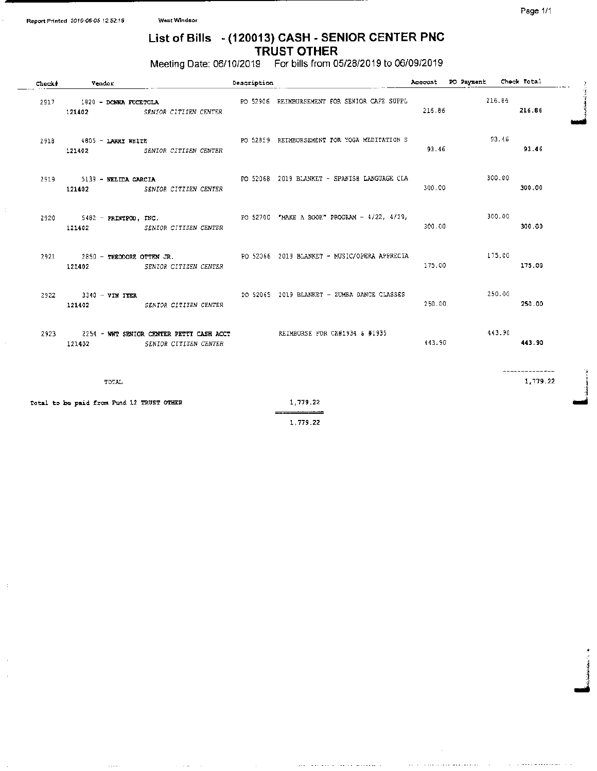$\cdots$ 

## List of Bills - ( 120013) CASH - SENIOR CENTER PNC TRUST OTHER

Meeting Date: 06/10/2019 For bills from 05/28/2019 to 06/09/2019

| Check# | Vendor                                    |                              | Description |                                                                                      |        | Account PO Payment | Check Total |
|--------|-------------------------------------------|------------------------------|-------------|--------------------------------------------------------------------------------------|--------|--------------------|-------------|
| 2917   | 1820 - DONNA FUCETOLA<br>121402           | SENIOR CITIZEN CENTER        |             | PO 52906 REIMBURSEMENT FOR SENIOR CAFE SUPPL                                         | 216.86 | 216.86             | 216.86      |
|        | 121402 SENIOR CITIZEN CENTER              |                              |             | 2918 4805 - LARRY WHITE THE RESEARCH POST ASSESS REIMBURSEMENT FOR YOGA MEDITATION S | 93.46  | 93.46              | 93.46       |
|        | 121402                                    | SENIOR CITIZEN CENTER        |             | 2919 5139 - NELIDA GARCIA SUN SUN 2019 BLANKET - SPANISH LANGUAGE CLA                | 300.00 | 300.00             | 300.00      |
|        | 121402                                    | SENIOR CITIZEN CENTER        |             | 2920 5482 - PRINTPOD, INC. PO 5270G "MAKE A SOCK" PROGRAM - 4/22, 4/29,              | 300.00 | 300.00             | 300.00      |
|        | 121402 SENIGR CITIZEN CENTER              |                              |             | 2921 2850 - THEODORE OTTEN JR. 2015 2019 BLANKET - MUSIC/OPERA APPRECIA              | 175.00 | 175.00             | 175.00      |
| 2922   |                                           | 121402 SENIOR CITIZEN CENTER |             | $3340 - \text{vtn}$ TIER $2019$ BLANKET - ZUMBA DANCE CLASSES                        | 250.00 | 250.00             | 250.00      |
|        | 121402                                    | SENIOR CITIZEN CENTER        |             | 2923 2254 - WWT SENIOR CENTER PETTI CASH ACCT BEINBURSE FOR CK#1934 & #1935          | 443.90 | 443.90             | 443.90      |
|        | TOTAL                                     |                              |             |                                                                                      |        |                    | 1,779.22    |
|        | Total to be paid from Fund 12 TRUST OTHER |                              |             | 1,779.22<br>_________                                                                |        |                    |             |

1, 779. 22

and and a common and a

Page 1/1

i

l

نے

 $\mathcal{L} = \mathcal{L}$  , where  $\mathcal{L} = \mathcal{L}$